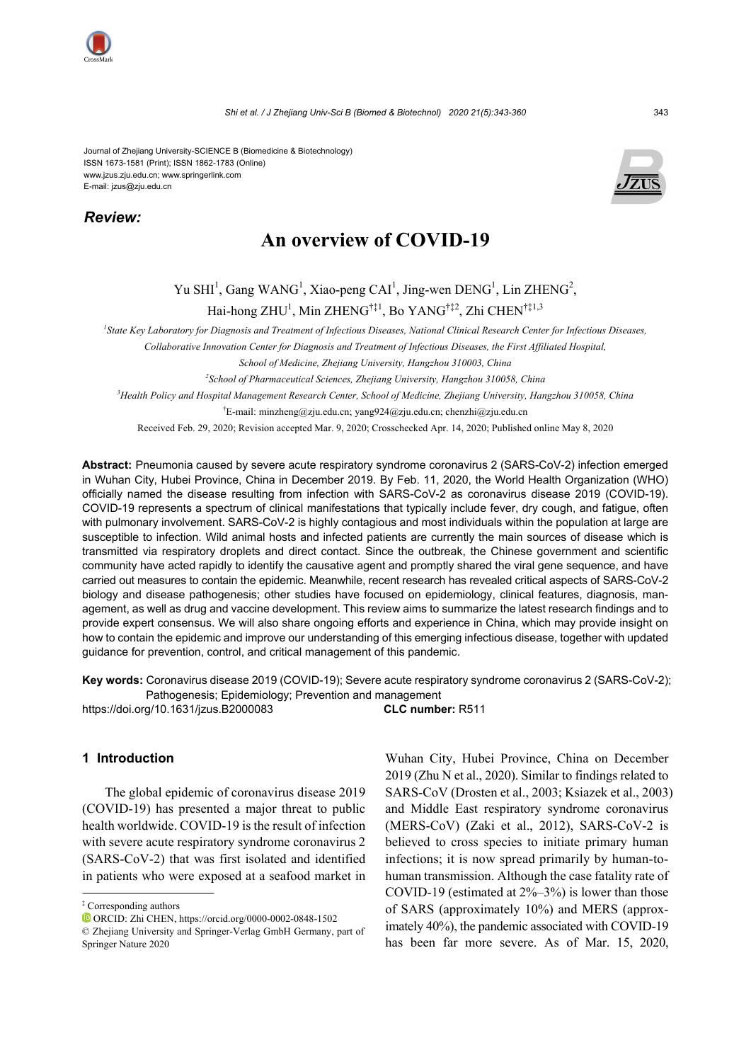Journal of Zhejiang University-SCIENCE B (Biomedicine & Biotechnology) ISSN 1673-1581 (Print); ISSN 1862-1783 (Online) www.jzus.zju.edu.cn; www.springerlink.com E-mail: jzus@zju.edu.cn

*Review:* 



# **An overview of COVID-19**

Yu SHI<sup>1</sup>, Gang WANG<sup>1</sup>, Xiao-peng CAI<sup>1</sup>, Jing-wen DENG<sup>1</sup>, Lin ZHENG<sup>2</sup>, Hai-hong ZHU<sup>1</sup>, Min ZHENG<sup>†‡1</sup>, Bo YANG<sup>†‡2</sup>, Zhi CHEN<sup>†‡1,3</sup>

<sup>1</sup> State Key Laboratory for Diagnosis and Treatment of Infectious Diseases, National Clinical Research Center for Infectious Diseases,

*Collaborative Innovation Center for Diagnosis and Treatment of Infectious Diseases, the First Affiliated Hospital,* 

*School of Medicine, Zhejiang University, Hangzhou 310003, China* 

*2 School of Pharmaceutical Sciences, Zhejiang University, Hangzhou 310058, China* 

*3 Health Policy and Hospital Management Research Center, School of Medicine, Zhejiang University, Hangzhou 310058, China* 

† E-mail: minzheng@zju.edu.cn; yang924@zju.edu.cn; chenzhi@zju.edu.cn

Received Feb. 29, 2020; Revision accepted Mar. 9, 2020; Crosschecked Apr. 14, 2020; Published online May 8, 2020

**Abstract:** Pneumonia caused by severe acute respiratory syndrome coronavirus 2 (SARS-CoV-2) infection emerged in Wuhan City, Hubei Province, China in December 2019. By Feb. 11, 2020, the World Health Organization (WHO) officially named the disease resulting from infection with SARS-CoV-2 as coronavirus disease 2019 (COVID-19). COVID-19 represents a spectrum of clinical manifestations that typically include fever, dry cough, and fatigue, often with pulmonary involvement. SARS-CoV-2 is highly contagious and most individuals within the population at large are susceptible to infection. Wild animal hosts and infected patients are currently the main sources of disease which is transmitted via respiratory droplets and direct contact. Since the outbreak, the Chinese government and scientific community have acted rapidly to identify the causative agent and promptly shared the viral gene sequence, and have carried out measures to contain the epidemic. Meanwhile, recent research has revealed critical aspects of SARS-CoV-2 biology and disease pathogenesis; other studies have focused on epidemiology, clinical features, diagnosis, management, as well as drug and vaccine development. This review aims to summarize the latest research findings and to provide expert consensus. We will also share ongoing efforts and experience in China, which may provide insight on how to contain the epidemic and improve our understanding of this emerging infectious disease, together with updated guidance for prevention, control, and critical management of this pandemic.

**Key words:** Coronavirus disease 2019 (COVID-19); Severe acute respiratory syndrome coronavirus 2 (SARS-CoV-2); Pathogenesis; Epidemiology; Prevention and management

https://doi.org/10.1631/jzus.B2000083 **CLC number:** R511

# **1 Introduction**

The global epidemic of coronavirus disease 2019 (COVID-19) has presented a major threat to public health worldwide. COVID-19 is the result of infection with severe acute respiratory syndrome coronavirus 2 (SARS-CoV-2) that was first isolated and identified in patients who were exposed at a seafood market in

ORCID: Zhi CHEN, https://orcid.org/0000-0002-0848-1502

Wuhan City, Hubei Province, China on December 2019 (Zhu N et al., 2020). Similar to findings related to SARS-CoV (Drosten et al., 2003; Ksiazek et al., 2003) and Middle East respiratory syndrome coronavirus (MERS-CoV) (Zaki et al., 2012), SARS-CoV-2 is believed to cross species to initiate primary human infections; it is now spread primarily by human-tohuman transmission. Although the case fatality rate of COVID-19 (estimated at  $2\% - 3\%$ ) is lower than those of SARS (approximately 10%) and MERS (approximately 40%), the pandemic associated with COVID-19 has been far more severe. As of Mar. 15, 2020,

<sup>‡</sup> Corresponding authors

<sup>©</sup> Zhejiang University and Springer-Verlag GmbH Germany, part of Springer Nature 2020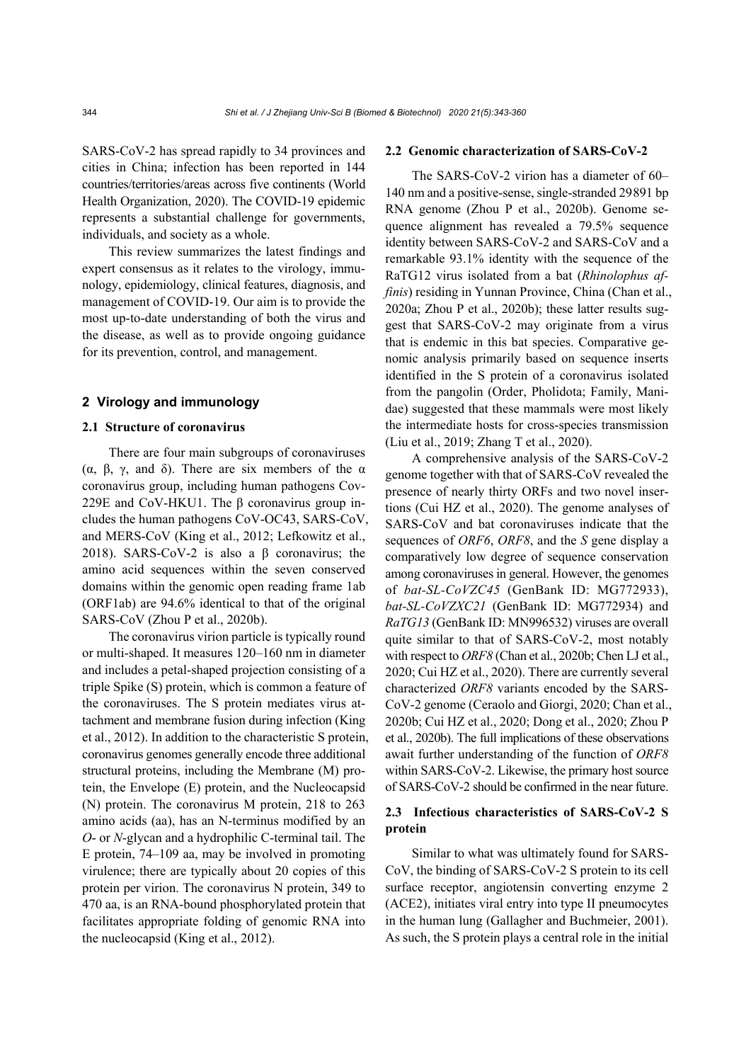SARS-CoV-2 has spread rapidly to 34 provinces and cities in China; infection has been reported in 144 countries/territories/areas across five continents (World Health Organization, 2020). The COVID-19 epidemic represents a substantial challenge for governments, individuals, and society as a whole.

This review summarizes the latest findings and expert consensus as it relates to the virology, immunology, epidemiology, clinical features, diagnosis, and management of COVID-19. Our aim is to provide the most up-to-date understanding of both the virus and the disease, as well as to provide ongoing guidance for its prevention, control, and management.

## **2 Virology and immunology**

## **2.1 Structure of coronavirus**

There are four main subgroups of coronaviruses (α, β, γ, and δ). There are six members of the α coronavirus group, including human pathogens Cov-229E and CoV-HKU1. The β coronavirus group includes the human pathogens CoV-OC43, SARS-CoV, and MERS-CoV (King et al., 2012; Lefkowitz et al., 2018). SARS-CoV-2 is also a β coronavirus; the amino acid sequences within the seven conserved domains within the genomic open reading frame 1ab (ORF1ab) are 94.6% identical to that of the original SARS-CoV (Zhou P et al., 2020b).

The coronavirus virion particle is typically round or multi-shaped. It measures 120–160 nm in diameter and includes a petal-shaped projection consisting of a triple Spike (S) protein, which is common a feature of the coronaviruses. The S protein mediates virus attachment and membrane fusion during infection (King et al., 2012). In addition to the characteristic S protein, coronavirus genomes generally encode three additional structural proteins, including the Membrane (M) protein, the Envelope (E) protein, and the Nucleocapsid (N) protein. The coronavirus M protein, 218 to 263 amino acids (aa), has an N-terminus modified by an *O*- or *N*-glycan and a hydrophilic C-terminal tail. The E protein, 74–109 aa, may be involved in promoting virulence; there are typically about 20 copies of this protein per virion. The coronavirus N protein, 349 to 470 aa, is an RNA-bound phosphorylated protein that facilitates appropriate folding of genomic RNA into the nucleocapsid (King et al., 2012).

## **2.2 Genomic characterization of SARS-CoV-2**

The SARS-CoV-2 virion has a diameter of 60– 140 nm and a positive-sense, single-stranded 29891 bp RNA genome (Zhou P et al., 2020b). Genome sequence alignment has revealed a 79.5% sequence identity between SARS-CoV-2 and SARS-CoV and a remarkable 93.1% identity with the sequence of the RaTG12 virus isolated from a bat (*Rhinolophus affinis*) residing in Yunnan Province, China (Chan et al., 2020a; Zhou P et al., 2020b); these latter results suggest that SARS-CoV-2 may originate from a virus that is endemic in this bat species. Comparative genomic analysis primarily based on sequence inserts identified in the S protein of a coronavirus isolated from the pangolin (Order, Pholidota; Family, Manidae) suggested that these mammals were most likely the intermediate hosts for cross-species transmission (Liu et al., 2019; Zhang T et al., 2020).

A comprehensive analysis of the SARS-CoV-2 genome together with that of SARS-CoV revealed the presence of nearly thirty ORFs and two novel insertions (Cui HZ et al., 2020). The genome analyses of SARS-CoV and bat coronaviruses indicate that the sequences of *ORF6*, *ORF8*, and the *S* gene display a comparatively low degree of sequence conservation among coronaviruses in general. However, the genomes of *bat-SL-CoVZC45* (GenBank ID: MG772933), *bat-SL-CoVZXC21* (GenBank ID: MG772934) and *RaTG13* (GenBank ID: MN996532) viruses are overall quite similar to that of SARS-CoV-2, most notably with respect to *ORF8* (Chan et al., 2020b; Chen LJ et al., 2020; Cui HZ et al., 2020). There are currently several characterized *ORF8* variants encoded by the SARS-CoV-2 genome (Ceraolo and Giorgi, 2020; Chan et al., 2020b; Cui HZ et al., 2020; Dong et al., 2020; Zhou P et al., 2020b). The full implications of these observations await further understanding of the function of *ORF8* within SARS-CoV-2. Likewise, the primary host source of SARS-CoV-2 should be confirmed in the near future.

# **2.3 Infectious characteristics of SARS-CoV-2 S protein**

Similar to what was ultimately found for SARS-CoV, the binding of SARS-CoV-2 S protein to its cell surface receptor, angiotensin converting enzyme 2 (ACE2), initiates viral entry into type II pneumocytes in the human lung (Gallagher and Buchmeier, 2001). As such, the S protein plays a central role in the initial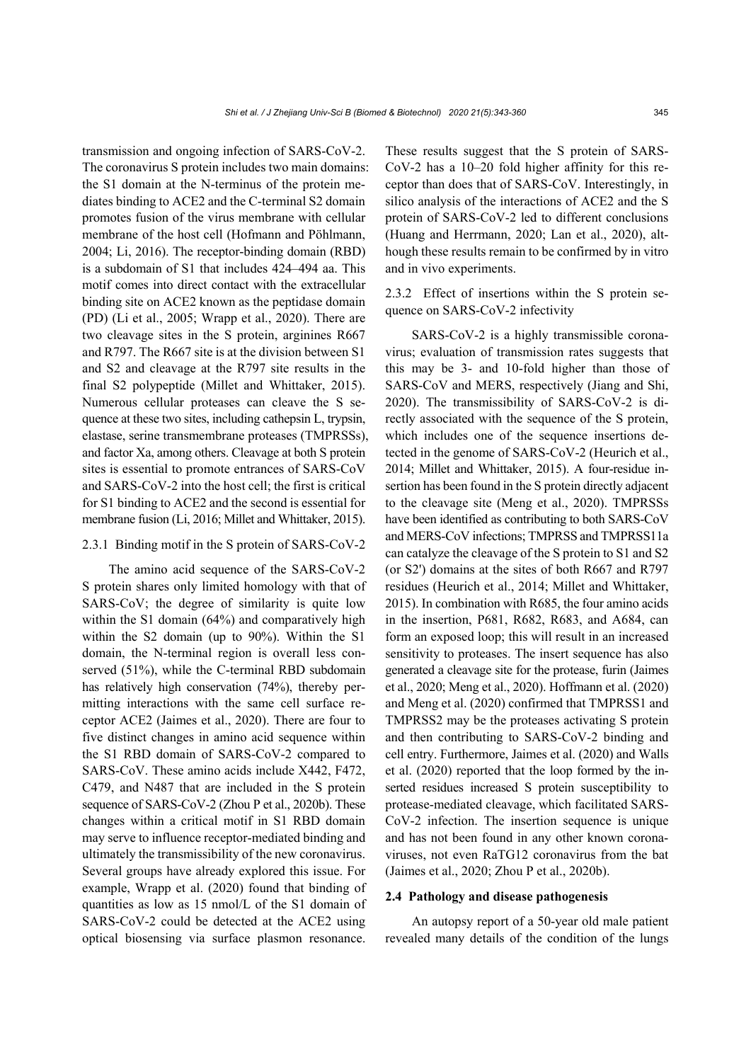transmission and ongoing infection of SARS-CoV-2. The coronavirus S protein includes two main domains: the S1 domain at the N-terminus of the protein mediates binding to ACE2 and the C-terminal S2 domain promotes fusion of the virus membrane with cellular membrane of the host cell (Hofmann and Pöhlmann, 2004; Li, 2016). The receptor-binding domain (RBD) is a subdomain of S1 that includes 424–494 aa. This motif comes into direct contact with the extracellular binding site on ACE2 known as the peptidase domain (PD) (Li et al., 2005; Wrapp et al., 2020). There are two cleavage sites in the S protein, arginines R667 and R797. The R667 site is at the division between S1 and S2 and cleavage at the R797 site results in the final S2 polypeptide (Millet and Whittaker, 2015). Numerous cellular proteases can cleave the S sequence at these two sites, including cathepsin L, trypsin, elastase, serine transmembrane proteases (TMPRSSs), and factor Xa, among others. Cleavage at both S protein sites is essential to promote entrances of SARS-CoV and SARS-CoV-2 into the host cell; the first is critical for S1 binding to ACE2 and the second is essential for membrane fusion (Li, 2016; Millet and Whittaker, 2015).

# 2.3.1 Binding motif in the S protein of SARS-CoV-2

The amino acid sequence of the SARS-CoV-2 S protein shares only limited homology with that of SARS-CoV; the degree of similarity is quite low within the S1 domain (64%) and comparatively high within the S2 domain (up to 90%). Within the S1 domain, the N-terminal region is overall less conserved (51%), while the C-terminal RBD subdomain has relatively high conservation (74%), thereby permitting interactions with the same cell surface receptor ACE2 (Jaimes et al., 2020). There are four to five distinct changes in amino acid sequence within the S1 RBD domain of SARS-CoV-2 compared to SARS-CoV. These amino acids include X442, F472, C479, and N487 that are included in the S protein sequence of SARS-CoV-2 (Zhou P et al., 2020b). These changes within a critical motif in S1 RBD domain may serve to influence receptor-mediated binding and ultimately the transmissibility of the new coronavirus. Several groups have already explored this issue. For example, Wrapp et al. (2020) found that binding of quantities as low as 15 nmol/L of the S1 domain of SARS-CoV-2 could be detected at the ACE2 using optical biosensing via surface plasmon resonance.

These results suggest that the S protein of SARS-CoV-2 has a 10–20 fold higher affinity for this receptor than does that of SARS-CoV. Interestingly, in silico analysis of the interactions of ACE2 and the S protein of SARS-CoV-2 led to different conclusions (Huang and Herrmann, 2020; Lan et al., 2020), although these results remain to be confirmed by in vitro and in vivo experiments.

2.3.2 Effect of insertions within the S protein sequence on SARS-CoV-2 infectivity

SARS-CoV-2 is a highly transmissible coronavirus; evaluation of transmission rates suggests that this may be 3- and 10-fold higher than those of SARS-CoV and MERS, respectively (Jiang and Shi, 2020). The transmissibility of SARS-CoV-2 is directly associated with the sequence of the S protein, which includes one of the sequence insertions detected in the genome of SARS-CoV-2 (Heurich et al., 2014; Millet and Whittaker, 2015). A four-residue insertion has been found in the S protein directly adjacent to the cleavage site (Meng et al., 2020). TMPRSSs have been identified as contributing to both SARS-CoV and MERS-CoV infections; TMPRSS and TMPRSS11a can catalyze the cleavage of the S protein to S1 and S2 (or S2') domains at the sites of both R667 and R797 residues (Heurich et al., 2014; Millet and Whittaker, 2015). In combination with R685, the four amino acids in the insertion, P681, R682, R683, and A684, can form an exposed loop; this will result in an increased sensitivity to proteases. The insert sequence has also generated a cleavage site for the protease, furin (Jaimes et al., 2020; Meng et al., 2020). Hoffmann et al. (2020) and Meng et al. (2020) confirmed that TMPRSS1 and TMPRSS2 may be the proteases activating S protein and then contributing to SARS-CoV-2 binding and cell entry. Furthermore, Jaimes et al. (2020) and Walls et al. (2020) reported that the loop formed by the inserted residues increased S protein susceptibility to protease-mediated cleavage, which facilitated SARS-CoV-2 infection. The insertion sequence is unique and has not been found in any other known coronaviruses, not even RaTG12 coronavirus from the bat (Jaimes et al., 2020; Zhou P et al., 2020b).

### **2.4 Pathology and disease pathogenesis**

An autopsy report of a 50-year old male patient revealed many details of the condition of the lungs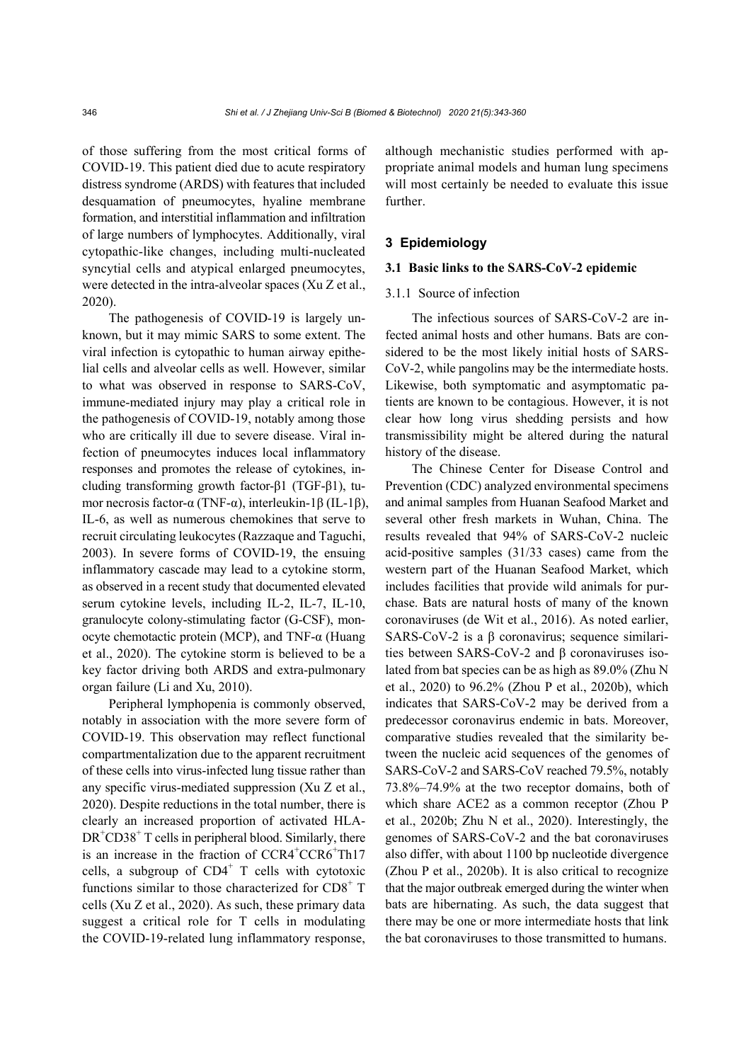of those suffering from the most critical forms of COVID-19. This patient died due to acute respiratory distress syndrome (ARDS) with features that included desquamation of pneumocytes, hyaline membrane formation, and interstitial inflammation and infiltration of large numbers of lymphocytes. Additionally, viral cytopathic-like changes, including multi-nucleated syncytial cells and atypical enlarged pneumocytes, were detected in the intra-alveolar spaces (Xu Z et al., 2020).

The pathogenesis of COVID-19 is largely unknown, but it may mimic SARS to some extent. The viral infection is cytopathic to human airway epithelial cells and alveolar cells as well. However, similar to what was observed in response to SARS-CoV, immune-mediated injury may play a critical role in the pathogenesis of COVID-19, notably among those who are critically ill due to severe disease. Viral infection of pneumocytes induces local inflammatory responses and promotes the release of cytokines, including transforming growth factor-β1 (TGF-β1), tumor necrosis factor-α (TNF-α), interleukin-1β (IL-1β), IL-6, as well as numerous chemokines that serve to recruit circulating leukocytes (Razzaque and Taguchi, 2003). In severe forms of COVID-19, the ensuing inflammatory cascade may lead to a cytokine storm, as observed in a recent study that documented elevated serum cytokine levels, including IL-2, IL-7, IL-10, granulocyte colony-stimulating factor (G-CSF), monocyte chemotactic protein (MCP), and TNF-α (Huang et al., 2020). The cytokine storm is believed to be a key factor driving both ARDS and extra-pulmonary organ failure (Li and Xu, 2010).

Peripheral lymphopenia is commonly observed, notably in association with the more severe form of COVID-19. This observation may reflect functional compartmentalization due to the apparent recruitment of these cells into virus-infected lung tissue rather than any specific virus-mediated suppression (Xu Z et al., 2020). Despite reductions in the total number, there is clearly an increased proportion of activated HLA-DR<sup>+</sup>CD38<sup>+</sup> T cells in peripheral blood. Similarly, there is an increase in the fraction of CCR4<sup>+</sup>CCR6<sup>+</sup>Th17 cells, a subgroup of  $CD4^+$  T cells with cytotoxic functions similar to those characterized for CD8<sup>+</sup> T cells (Xu Z et al., 2020). As such, these primary data suggest a critical role for T cells in modulating the COVID-19-related lung inflammatory response,

although mechanistic studies performed with appropriate animal models and human lung specimens will most certainly be needed to evaluate this issue further.

# **3 Epidemiology**

# **3.1 Basic links to the SARS-CoV-2 epidemic**

### 3.1.1 Source of infection

The infectious sources of SARS-CoV-2 are infected animal hosts and other humans. Bats are considered to be the most likely initial hosts of SARS-CoV-2, while pangolins may be the intermediate hosts. Likewise, both symptomatic and asymptomatic patients are known to be contagious. However, it is not clear how long virus shedding persists and how transmissibility might be altered during the natural history of the disease.

The Chinese Center for Disease Control and Prevention (CDC) analyzed environmental specimens and animal samples from Huanan Seafood Market and several other fresh markets in Wuhan, China. The results revealed that 94% of SARS-CoV-2 nucleic acid-positive samples (31/33 cases) came from the western part of the Huanan Seafood Market, which includes facilities that provide wild animals for purchase. Bats are natural hosts of many of the known coronaviruses (de Wit et al., 2016). As noted earlier, SARS-CoV-2 is a β coronavirus; sequence similarities between SARS-CoV-2 and β coronaviruses isolated from bat species can be as high as 89.0% (Zhu N et al., 2020) to 96.2% (Zhou P et al., 2020b), which indicates that SARS-CoV-2 may be derived from a predecessor coronavirus endemic in bats. Moreover, comparative studies revealed that the similarity between the nucleic acid sequences of the genomes of SARS-CoV-2 and SARS-CoV reached 79.5%, notably 73.8%–74.9% at the two receptor domains, both of which share ACE2 as a common receptor (Zhou P et al., 2020b; Zhu N et al., 2020). Interestingly, the genomes of SARS-CoV-2 and the bat coronaviruses also differ, with about 1100 bp nucleotide divergence (Zhou P et al., 2020b). It is also critical to recognize that the major outbreak emerged during the winter when bats are hibernating. As such, the data suggest that there may be one or more intermediate hosts that link the bat coronaviruses to those transmitted to humans.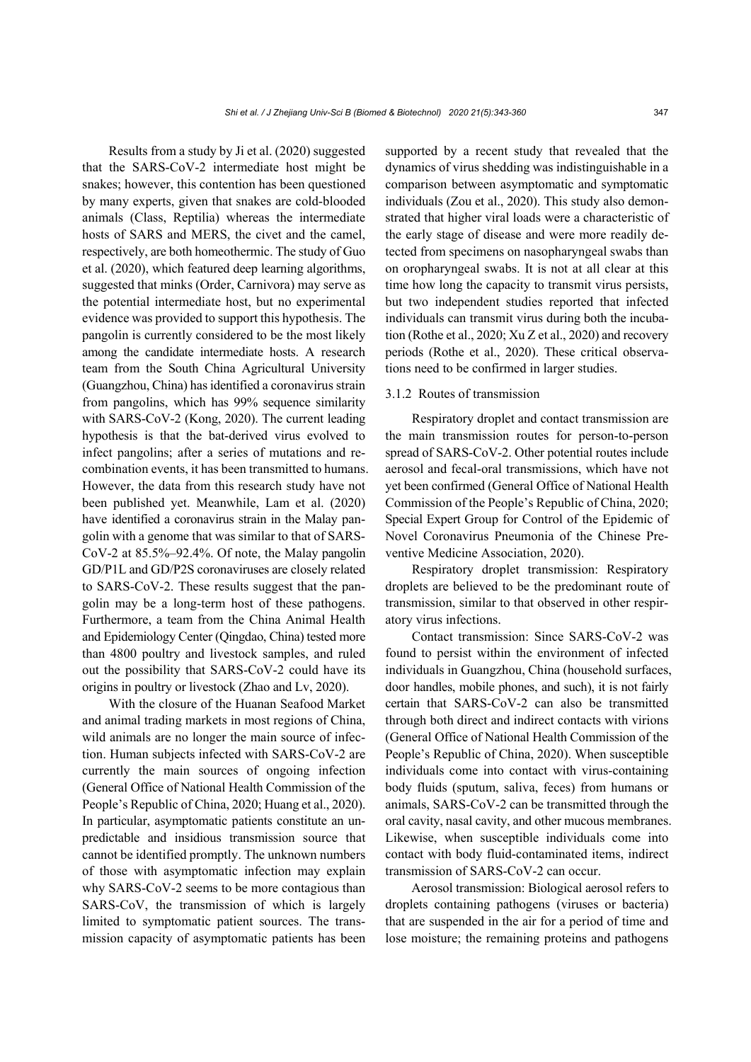Results from a study by Ji et al. (2020) suggested that the SARS-CoV-2 intermediate host might be snakes; however, this contention has been questioned by many experts, given that snakes are cold-blooded animals (Class, Reptilia) whereas the intermediate hosts of SARS and MERS, the civet and the camel, respectively, are both homeothermic. The study of Guo et al. (2020), which featured deep learning algorithms, suggested that minks (Order, Carnivora) may serve as the potential intermediate host, but no experimental evidence was provided to support this hypothesis. The pangolin is currently considered to be the most likely among the candidate intermediate hosts. A research team from the South China Agricultural University (Guangzhou, China) has identified a coronavirus strain from pangolins, which has 99% sequence similarity with SARS-CoV-2 (Kong, 2020). The current leading hypothesis is that the bat-derived virus evolved to infect pangolins; after a series of mutations and recombination events, it has been transmitted to humans. However, the data from this research study have not been published yet. Meanwhile, Lam et al. (2020) have identified a coronavirus strain in the Malay pangolin with a genome that was similar to that of SARS-CoV-2 at 85.5%–92.4%. Of note, the Malay pangolin GD/P1L and GD/P2S coronaviruses are closely related to SARS-CoV-2. These results suggest that the pangolin may be a long-term host of these pathogens. Furthermore, a team from the China Animal Health and Epidemiology Center (Qingdao, China) tested more than 4800 poultry and livestock samples, and ruled out the possibility that SARS-CoV-2 could have its origins in poultry or livestock (Zhao and Lv, 2020).

With the closure of the Huanan Seafood Market and animal trading markets in most regions of China, wild animals are no longer the main source of infection. Human subjects infected with SARS-CoV-2 are currently the main sources of ongoing infection (General Office of National Health Commission of the People's Republic of China, 2020; Huang et al., 2020). In particular, asymptomatic patients constitute an unpredictable and insidious transmission source that cannot be identified promptly. The unknown numbers of those with asymptomatic infection may explain why SARS-CoV-2 seems to be more contagious than SARS-CoV, the transmission of which is largely limited to symptomatic patient sources. The transmission capacity of asymptomatic patients has been supported by a recent study that revealed that the dynamics of virus shedding was indistinguishable in a comparison between asymptomatic and symptomatic individuals (Zou et al., 2020). This study also demonstrated that higher viral loads were a characteristic of the early stage of disease and were more readily detected from specimens on nasopharyngeal swabs than on oropharyngeal swabs. It is not at all clear at this time how long the capacity to transmit virus persists, but two independent studies reported that infected individuals can transmit virus during both the incubation (Rothe et al., 2020; Xu Z et al., 2020) and recovery periods (Rothe et al., 2020). These critical observations need to be confirmed in larger studies.

# 3.1.2 Routes of transmission

Respiratory droplet and contact transmission are the main transmission routes for person-to-person spread of SARS-CoV-2. Other potential routes include aerosol and fecal-oral transmissions, which have not yet been confirmed (General Office of National Health Commission of the People's Republic of China, 2020; Special Expert Group for Control of the Epidemic of Novel Coronavirus Pneumonia of the Chinese Preventive Medicine Association, 2020).

Respiratory droplet transmission: Respiratory droplets are believed to be the predominant route of transmission, similar to that observed in other respiratory virus infections.

Contact transmission: Since SARS-CoV-2 was found to persist within the environment of infected individuals in Guangzhou, China (household surfaces, door handles, mobile phones, and such), it is not fairly certain that SARS-CoV-2 can also be transmitted through both direct and indirect contacts with virions (General Office of National Health Commission of the People's Republic of China, 2020). When susceptible individuals come into contact with virus-containing body fluids (sputum, saliva, feces) from humans or animals, SARS-CoV-2 can be transmitted through the oral cavity, nasal cavity, and other mucous membranes. Likewise, when susceptible individuals come into contact with body fluid-contaminated items, indirect transmission of SARS-CoV-2 can occur.

Aerosol transmission: Biological aerosol refers to droplets containing pathogens (viruses or bacteria) that are suspended in the air for a period of time and lose moisture; the remaining proteins and pathogens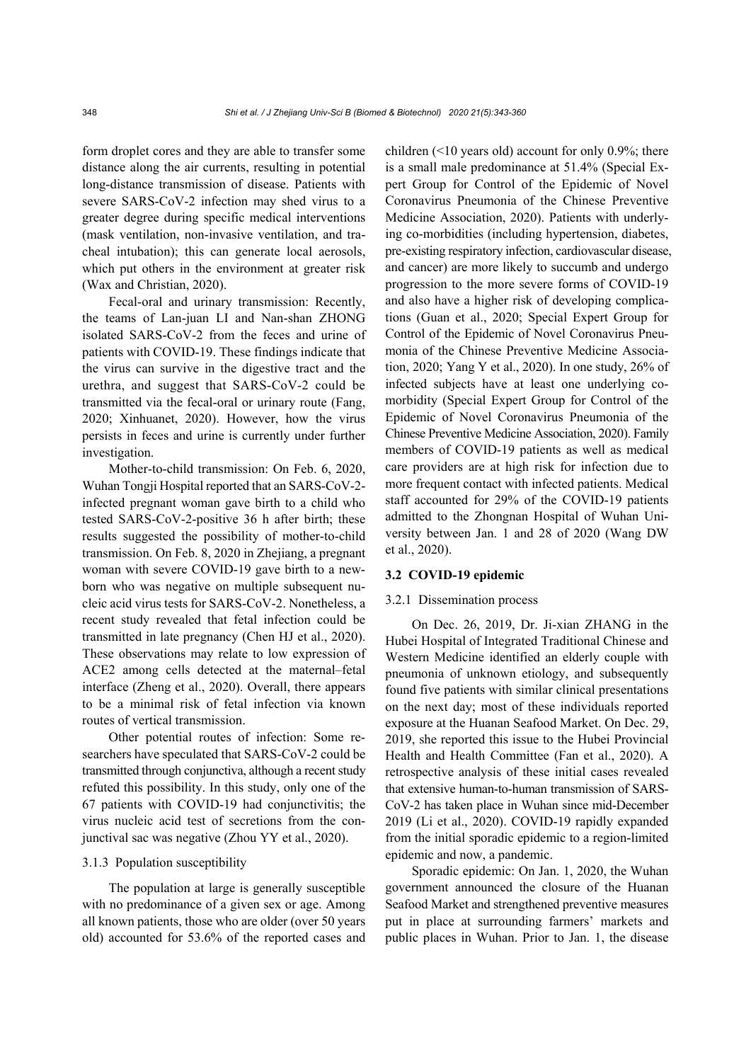form droplet cores and they are able to transfer some distance along the air currents, resulting in potential long-distance transmission of disease. Patients with severe SARS-CoV-2 infection may shed virus to a greater degree during specific medical interventions (mask ventilation, non-invasive ventilation, and tracheal intubation); this can generate local aerosols, which put others in the environment at greater risk (Wax and Christian, 2020).

Fecal-oral and urinary transmission: Recently, the teams of Lan-juan LI and Nan-shan ZHONG isolated SARS-CoV-2 from the feces and urine of patients with COVID-19. These findings indicate that the virus can survive in the digestive tract and the urethra, and suggest that SARS-CoV-2 could be transmitted via the fecal-oral or urinary route (Fang, 2020; Xinhuanet, 2020). However, how the virus persists in feces and urine is currently under further investigation.

Mother-to-child transmission: On Feb. 6, 2020, Wuhan Tongji Hospital reported that an SARS-CoV-2 infected pregnant woman gave birth to a child who tested SARS-CoV-2-positive 36 h after birth; these results suggested the possibility of mother-to-child transmission. On Feb. 8, 2020 in Zhejiang, a pregnant woman with severe COVID-19 gave birth to a newborn who was negative on multiple subsequent nucleic acid virus tests for SARS-CoV-2. Nonetheless, a recent study revealed that fetal infection could be transmitted in late pregnancy (Chen HJ et al., 2020). These observations may relate to low expression of ACE2 among cells detected at the maternal–fetal interface (Zheng et al., 2020). Overall, there appears to be a minimal risk of fetal infection via known routes of vertical transmission.

Other potential routes of infection: Some researchers have speculated that SARS-CoV-2 could be transmitted through conjunctiva, although a recent study refuted this possibility. In this study, only one of the 67 patients with COVID-19 had conjunctivitis; the virus nucleic acid test of secretions from the conjunctival sac was negative (Zhou YY et al., 2020).

## 3.1.3 Population susceptibility

The population at large is generally susceptible with no predominance of a given sex or age. Among all known patients, those who are older (over 50 years old) accounted for 53.6% of the reported cases and children (<10 years old) account for only 0.9%; there is a small male predominance at 51.4% (Special Expert Group for Control of the Epidemic of Novel Coronavirus Pneumonia of the Chinese Preventive Medicine Association, 2020). Patients with underlying co-morbidities (including hypertension, diabetes, pre-existing respiratory infection, cardiovascular disease, and cancer) are more likely to succumb and undergo progression to the more severe forms of COVID-19 and also have a higher risk of developing complications (Guan et al., 2020; Special Expert Group for Control of the Epidemic of Novel Coronavirus Pneumonia of the Chinese Preventive Medicine Association, 2020; Yang Y et al., 2020). In one study, 26% of infected subjects have at least one underlying comorbidity (Special Expert Group for Control of the Epidemic of Novel Coronavirus Pneumonia of the Chinese Preventive Medicine Association, 2020). Family members of COVID-19 patients as well as medical care providers are at high risk for infection due to more frequent contact with infected patients. Medical staff accounted for 29% of the COVID-19 patients admitted to the Zhongnan Hospital of Wuhan University between Jan. 1 and 28 of 2020 (Wang DW et al., 2020).

## **3.2 COVID-19 epidemic**

# 3.2.1 Dissemination process

On Dec. 26, 2019, Dr. Ji-xian ZHANG in the Hubei Hospital of Integrated Traditional Chinese and Western Medicine identified an elderly couple with pneumonia of unknown etiology, and subsequently found five patients with similar clinical presentations on the next day; most of these individuals reported exposure at the Huanan Seafood Market. On Dec. 29, 2019, she reported this issue to the Hubei Provincial Health and Health Committee (Fan et al., 2020). A retrospective analysis of these initial cases revealed that extensive human-to-human transmission of SARS-CoV-2 has taken place in Wuhan since mid-December 2019 (Li et al., 2020). COVID-19 rapidly expanded from the initial sporadic epidemic to a region-limited epidemic and now, a pandemic.

Sporadic epidemic: On Jan. 1, 2020, the Wuhan government announced the closure of the Huanan Seafood Market and strengthened preventive measures put in place at surrounding farmers' markets and public places in Wuhan. Prior to Jan. 1, the disease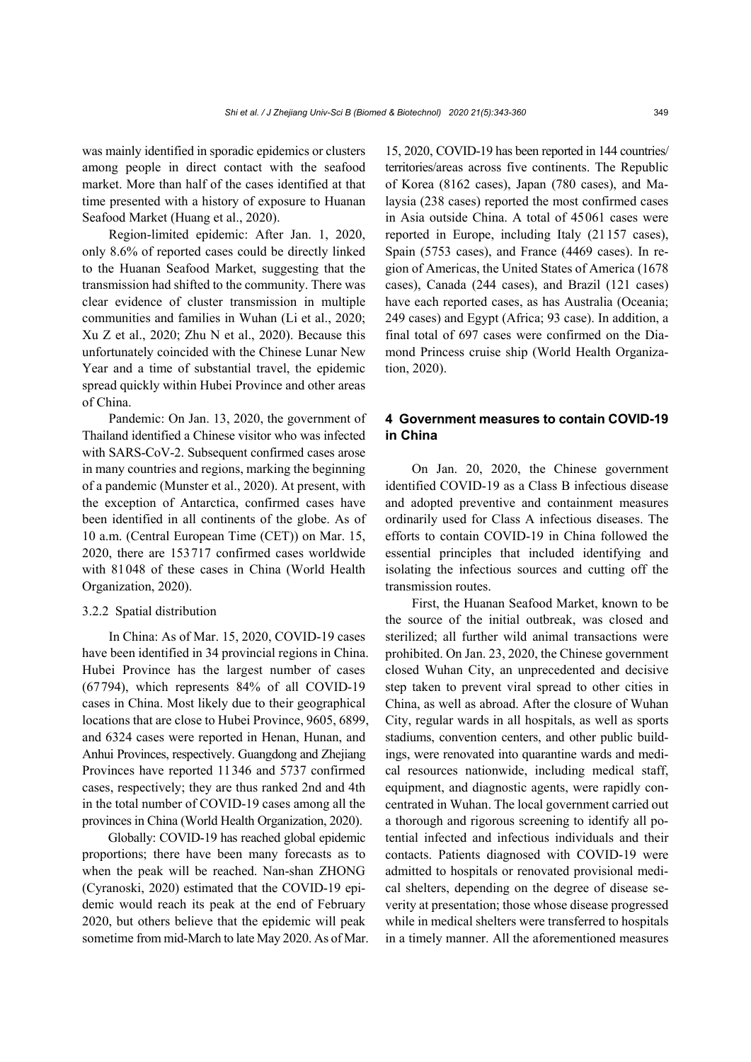was mainly identified in sporadic epidemics or clusters among people in direct contact with the seafood market. More than half of the cases identified at that time presented with a history of exposure to Huanan Seafood Market (Huang et al., 2020).

Region-limited epidemic: After Jan. 1, 2020, only 8.6% of reported cases could be directly linked to the Huanan Seafood Market, suggesting that the transmission had shifted to the community. There was clear evidence of cluster transmission in multiple communities and families in Wuhan (Li et al., 2020; Xu Z et al., 2020; Zhu N et al., 2020). Because this unfortunately coincided with the Chinese Lunar New Year and a time of substantial travel, the epidemic spread quickly within Hubei Province and other areas of China.

Pandemic: On Jan. 13, 2020, the government of Thailand identified a Chinese visitor who was infected with SARS-CoV-2. Subsequent confirmed cases arose in many countries and regions, marking the beginning of a pandemic (Munster et al., 2020). At present, with the exception of Antarctica, confirmed cases have been identified in all continents of the globe. As of 10 a.m. (Central European Time (CET)) on Mar. 15, 2020, there are 153717 confirmed cases worldwide with 81048 of these cases in China (World Health Organization, 2020).

#### 3.2.2 Spatial distribution

In China: As of Mar. 15, 2020, COVID-19 cases have been identified in 34 provincial regions in China. Hubei Province has the largest number of cases (67794), which represents 84% of all COVID-19 cases in China. Most likely due to their geographical locations that are close to Hubei Province, 9605, 6899, and 6324 cases were reported in Henan, Hunan, and Anhui Provinces, respectively. Guangdong and Zhejiang Provinces have reported 11346 and 5737 confirmed cases, respectively; they are thus ranked 2nd and 4th in the total number of COVID-19 cases among all the provinces in China (World Health Organization, 2020).

Globally: COVID-19 has reached global epidemic proportions; there have been many forecasts as to when the peak will be reached. Nan-shan ZHONG (Cyranoski, 2020) estimated that the COVID-19 epidemic would reach its peak at the end of February 2020, but others believe that the epidemic will peak sometime from mid-March to late May 2020. As of Mar. 15, 2020, COVID-19 has been reported in 144 countries/ territories/areas across five continents. The Republic of Korea (8162 cases), Japan (780 cases), and Malaysia (238 cases) reported the most confirmed cases in Asia outside China. A total of 45061 cases were reported in Europe, including Italy (21157 cases), Spain (5753 cases), and France (4469 cases). In region of Americas, the United States of America (1678 cases), Canada (244 cases), and Brazil (121 cases) have each reported cases, as has Australia (Oceania; 249 cases) and Egypt (Africa; 93 case). In addition, a final total of 697 cases were confirmed on the Diamond Princess cruise ship (World Health Organization, 2020).

# **4 Government measures to contain COVID-19 in China**

On Jan. 20, 2020, the Chinese government identified COVID-19 as a Class B infectious disease and adopted preventive and containment measures ordinarily used for Class A infectious diseases. The efforts to contain COVID-19 in China followed the essential principles that included identifying and isolating the infectious sources and cutting off the transmission routes.

First, the Huanan Seafood Market, known to be the source of the initial outbreak, was closed and sterilized; all further wild animal transactions were prohibited. On Jan. 23, 2020, the Chinese government closed Wuhan City, an unprecedented and decisive step taken to prevent viral spread to other cities in China, as well as abroad. After the closure of Wuhan City, regular wards in all hospitals, as well as sports stadiums, convention centers, and other public buildings, were renovated into quarantine wards and medical resources nationwide, including medical staff, equipment, and diagnostic agents, were rapidly concentrated in Wuhan. The local government carried out a thorough and rigorous screening to identify all potential infected and infectious individuals and their contacts. Patients diagnosed with COVID-19 were admitted to hospitals or renovated provisional medical shelters, depending on the degree of disease severity at presentation; those whose disease progressed while in medical shelters were transferred to hospitals in a timely manner. All the aforementioned measures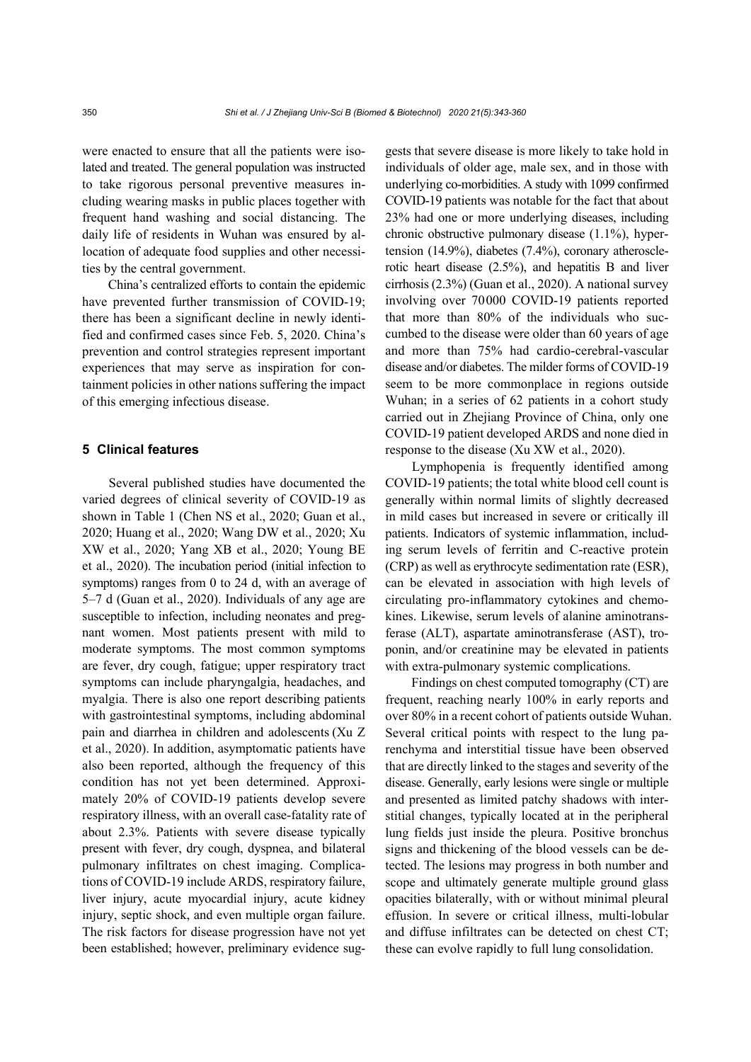were enacted to ensure that all the patients were isolated and treated. The general population was instructed to take rigorous personal preventive measures including wearing masks in public places together with frequent hand washing and social distancing. The daily life of residents in Wuhan was ensured by allocation of adequate food supplies and other necessities by the central government.

China's centralized efforts to contain the epidemic have prevented further transmission of COVID-19; there has been a significant decline in newly identified and confirmed cases since Feb. 5, 2020. China's prevention and control strategies represent important experiences that may serve as inspiration for containment policies in other nations suffering the impact of this emerging infectious disease.

## **5 Clinical features**

Several published studies have documented the varied degrees of clinical severity of COVID-19 as shown in Table 1 (Chen NS et al., 2020; Guan et al., 2020; Huang et al., 2020; Wang DW et al., 2020; Xu XW et al., 2020; Yang XB et al., 2020; Young BE et al., 2020). The incubation period (initial infection to symptoms) ranges from 0 to 24 d, with an average of 5–7 d (Guan et al., 2020). Individuals of any age are susceptible to infection, including neonates and pregnant women. Most patients present with mild to moderate symptoms. The most common symptoms are fever, dry cough, fatigue; upper respiratory tract symptoms can include pharyngalgia, headaches, and myalgia. There is also one report describing patients with gastrointestinal symptoms, including abdominal pain and diarrhea in children and adolescents (Xu Z et al., 2020). In addition, asymptomatic patients have also been reported, although the frequency of this condition has not yet been determined. Approximately 20% of COVID-19 patients develop severe respiratory illness, with an overall case-fatality rate of about 2.3%. Patients with severe disease typically present with fever, dry cough, dyspnea, and bilateral pulmonary infiltrates on chest imaging. Complications of COVID-19 include ARDS, respiratory failure, liver injury, acute myocardial injury, acute kidney injury, septic shock, and even multiple organ failure. The risk factors for disease progression have not yet been established; however, preliminary evidence suggests that severe disease is more likely to take hold in individuals of older age, male sex, and in those with underlying co-morbidities. A study with 1099 confirmed COVID-19 patients was notable for the fact that about 23% had one or more underlying diseases, including chronic obstructive pulmonary disease (1.1%), hypertension (14.9%), diabetes (7.4%), coronary atherosclerotic heart disease (2.5%), and hepatitis B and liver cirrhosis (2.3%) (Guan et al., 2020). A national survey involving over 70000 COVID-19 patients reported that more than 80% of the individuals who succumbed to the disease were older than 60 years of age and more than 75% had cardio-cerebral-vascular disease and/or diabetes. The milder forms of COVID-19 seem to be more commonplace in regions outside Wuhan; in a series of 62 patients in a cohort study carried out in Zhejiang Province of China, only one COVID-19 patient developed ARDS and none died in response to the disease (Xu XW et al., 2020).

Lymphopenia is frequently identified among COVID-19 patients; the total white blood cell count is generally within normal limits of slightly decreased in mild cases but increased in severe or critically ill patients. Indicators of systemic inflammation, including serum levels of ferritin and C-reactive protein (CRP) as well as erythrocyte sedimentation rate (ESR), can be elevated in association with high levels of circulating pro-inflammatory cytokines and chemokines. Likewise, serum levels of alanine aminotransferase (ALT), aspartate aminotransferase (AST), troponin, and/or creatinine may be elevated in patients with extra-pulmonary systemic complications.

Findings on chest computed tomography (CT) are frequent, reaching nearly 100% in early reports and over 80% in a recent cohort of patients outside Wuhan. Several critical points with respect to the lung parenchyma and interstitial tissue have been observed that are directly linked to the stages and severity of the disease. Generally, early lesions were single or multiple and presented as limited patchy shadows with interstitial changes, typically located at in the peripheral lung fields just inside the pleura. Positive bronchus signs and thickening of the blood vessels can be detected. The lesions may progress in both number and scope and ultimately generate multiple ground glass opacities bilaterally, with or without minimal pleural effusion. In severe or critical illness, multi-lobular and diffuse infiltrates can be detected on chest CT; these can evolve rapidly to full lung consolidation.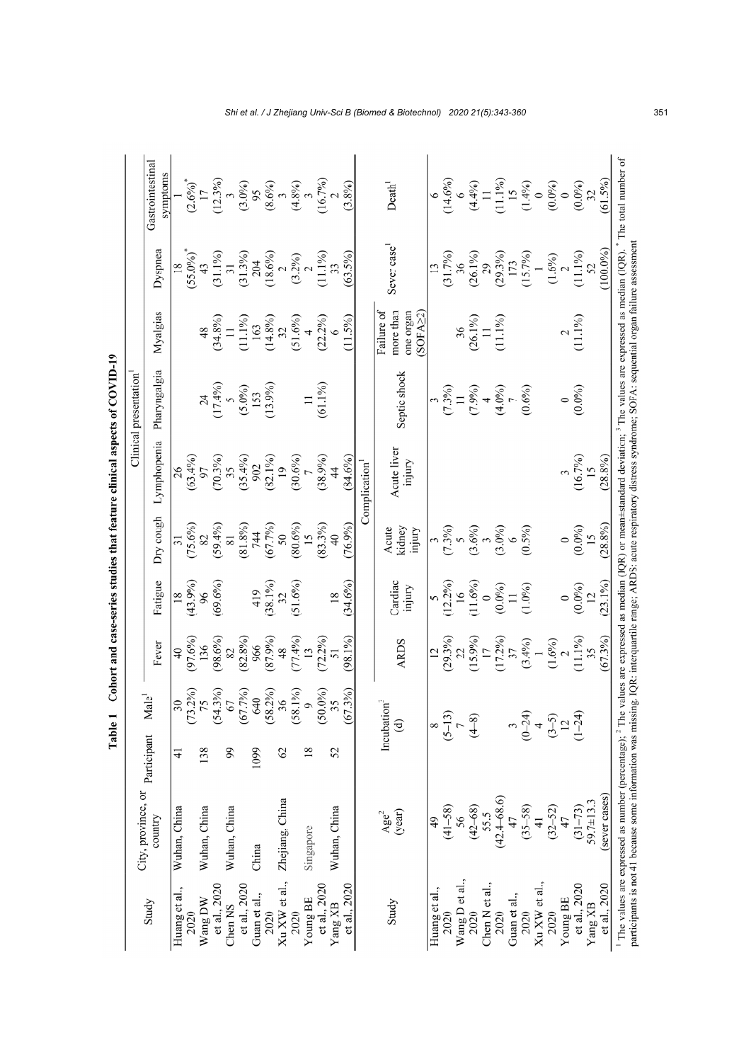|                    |                                           |                 |                                                        |                                          |                                                     |                            |                                  | Clinical presentation                                           |                                                                                   |                                                      |                                                                                                 |
|--------------------|-------------------------------------------|-----------------|--------------------------------------------------------|------------------------------------------|-----------------------------------------------------|----------------------------|----------------------------------|-----------------------------------------------------------------|-----------------------------------------------------------------------------------|------------------------------------------------------|-------------------------------------------------------------------------------------------------|
| Study              | City, province, or participant<br>country |                 | $\overline{a}$ le <sup>1</sup><br>Ž                    | Fever                                    | Fatigue                                             | hguos <i>k</i> IO          | Lymphopenia                      | Pharyngalgia                                                    | Myalgias                                                                          | Dyspnea                                              | Gastrointestinal<br>symptoms                                                                    |
| Huang et al.,      | Wuhan, China                              | $\frac{1}{4}$   | 30 <sub>o</sub>                                        | $\overline{40}$                          |                                                     |                            | $\frac{26}{26}$<br>(63.4%)<br>97 |                                                                 |                                                                                   |                                                      |                                                                                                 |
| 2020               |                                           |                 |                                                        | $(97.6\%)$                               | $\frac{18}{(43.9%)}$                                | $(75.6\%)$                 |                                  |                                                                 |                                                                                   | $\frac{18}{(55.0\%)}$ *                              |                                                                                                 |
| Wang DW            | Wuhan, China                              | 138             | $(73.2\%)$<br>$75$<br>$(54.3\%)$<br>$67$<br>$(67.7\%)$ | 136                                      | 96                                                  |                            |                                  |                                                                 | $(34.8\%)$<br>11                                                                  |                                                      | $(2.6\%)^*$                                                                                     |
| et al., 2020       |                                           |                 |                                                        | $(98.6\%)$                               | $(69.6\%)$                                          | $(59.4\%)$                 | $(70.3\%)$                       |                                                                 |                                                                                   | $(31.1\%)$<br>$31$                                   |                                                                                                 |
| Chen <sub>NS</sub> | Wuhan, China                              | 99              |                                                        | 82                                       |                                                     | 81                         | 35                               |                                                                 |                                                                                   |                                                      |                                                                                                 |
| et al., 2020       |                                           |                 |                                                        | $(82.8\%)$<br>966                        |                                                     | $(81.8\%)$<br>744          | $(35.4\%)$<br>902                | $24$<br>$(17.4\%)$<br>$(5.0\%)$<br>$153$<br>$153$<br>$(13.9\%)$ |                                                                                   | $(31.3\%)$<br>204                                    |                                                                                                 |
| Guan et al.,       | China                                     | 1099            |                                                        |                                          |                                                     |                            |                                  |                                                                 |                                                                                   |                                                      |                                                                                                 |
| 2020               |                                           |                 | $640$<br>$8.2%$<br>$36$<br>(58)                        | $(87.9\%)$                               | $\begin{array}{c}\n 419 \\  (38.1\%)\n \end{array}$ | $(67.7\%)$                 | $(82.1\%)$                       |                                                                 |                                                                                   | $(18.6\%)$                                           |                                                                                                 |
| Xu XW et al.,      | Zhejiang, China                           | $\mathcal{O}$   |                                                        | 48                                       |                                                     | 50                         | $\overline{19}$                  |                                                                 |                                                                                   |                                                      |                                                                                                 |
| 2020               |                                           |                 | $(58.1\%)$                                             | $(27.4\%)$                               | $(51.6\%)$                                          | $(80.6\%)$                 | $(30.6\%)$                       |                                                                 | $\begin{array}{c} (11.1\%) \\ 163 \\ 14.8\%) \\ 32 \\ 52 \\ (51.6\%) \end{array}$ | $(3.2\%)$                                            | $\begin{array}{l} (12.3\%) \\ (3.0\%) \\ (3.0\%) \\ (8.6\%) \\ (4.8\%) \\ (16.7\%) \end{array}$ |
| Young BE           | Singapore                                 | $\overline{18}$ | $\circ$                                                |                                          |                                                     | 15                         |                                  | $\Box$                                                          | $4$<br>(22.2%)                                                                    |                                                      |                                                                                                 |
| et al., 2020       |                                           |                 | $(9\%)$<br>(50)                                        | $(72.2\%)$                               |                                                     | (83.3%)                    | (38.9%)                          | $(61.1\%)$                                                      |                                                                                   | $(11.1\%)$                                           |                                                                                                 |
| Yang XB            | Wuhan, China                              | 52              | 35                                                     |                                          | $18\,$                                              |                            |                                  |                                                                 |                                                                                   | 33                                                   |                                                                                                 |
| et al., 2020       |                                           |                 | $(3\%)$<br>(67)                                        | $(98.1\%)$                               | 34.6%                                               | 76.9%                      | $(84.6\%)$                       |                                                                 | $(11.5\%)$                                                                        | $(63.5\%)$                                           | (3.8%)                                                                                          |
|                    |                                           |                 |                                                        |                                          |                                                     |                            | Complication                     |                                                                 |                                                                                   |                                                      |                                                                                                 |
| Study              | $\frac{Age^2}{(year)}$                    |                 | Incubatio                                              |                                          |                                                     | Acute                      |                                  |                                                                 | Failure of                                                                        | Sever case                                           | Death <sup>1</sup>                                                                              |
|                    |                                           |                 | $\widehat{\mathsf{d}}$                                 | <b>ARDS</b>                              | Cardiac<br>injury                                   | kidney<br>yurjury          | Acute liver<br>injury            | Septic shock                                                    | more than<br>one organ<br>SOFA <sub>22</sub>                                      |                                                      |                                                                                                 |
| Huang et al.,      | $\overline{6}$                            |                 | $\infty$                                               | $\overline{5}$                           | $\sim$                                              |                            |                                  |                                                                 |                                                                                   | $\overline{13}$                                      |                                                                                                 |
| 2020               | $(41 - 58)$                               |                 | $(5 - 13)$                                             |                                          |                                                     |                            |                                  |                                                                 |                                                                                   |                                                      |                                                                                                 |
| Wang D et al.,     | 56                                        |                 |                                                        | $(29.3\%)$<br>$22$<br>$(15.9\%)$<br>$17$ | $(12.2\%)$<br>16<br>(11.6%)                         | $\frac{3}{3}$<br>$(7.3\%)$ |                                  | $(7.3\%)$<br>$(1.3\%)$<br>$(7.9\%)$                             | $\frac{36}{11}$                                                                   | $(31.7%)$<br>$36$                                    | $(14.6\%)$<br>6                                                                                 |
| 2020               | $(42 - 68)$                               |                 | $(4-8)$                                                |                                          |                                                     | $(3.6\%)$<br>3             |                                  |                                                                 |                                                                                   | $(26.1\%)$                                           | $\begin{array}{l} (4.4\%) \\ 11 \\ 11.1\% \\ 15 \\ 15 \\ (1.4\%) \\ 0 \\ (0.0\%) \end{array}$   |
| Chen N et al.,     | 55.5                                      |                 |                                                        |                                          |                                                     |                            |                                  | $\overline{a}$                                                  |                                                                                   |                                                      |                                                                                                 |
| 2020               | $(42.4 - 68.6)$                           |                 |                                                        | $(17.2\%)$<br>37                         | $\begin{array}{c} (0.0\% ) \\ 11 \end{array}$       | $(3.0\%)$<br>6             |                                  | $(4.0\%)$                                                       | 11.1%)                                                                            | $\begin{array}{c} 29 \\ (29.3\%) \\ 173 \end{array}$ |                                                                                                 |
| Guan et al.,       | 47                                        |                 |                                                        |                                          |                                                     |                            |                                  |                                                                 |                                                                                   |                                                      |                                                                                                 |
| 2020               | $(35 - 58)$                               |                 | $(0 - 24)$                                             |                                          | $(1.0\%)$                                           | $(0.5\%)$                  |                                  | $(0.6\%)$                                                       |                                                                                   | $(15.7\%)$                                           |                                                                                                 |
| Xu XW et al.,      | $\frac{1}{4}$                             |                 | $\overline{4}$                                         | $(3.4\%)$<br>$(1.6\%)$<br>$(1.6\%)$      |                                                     |                            |                                  |                                                                 |                                                                                   | $\overline{\phantom{0}}$                             |                                                                                                 |
| 2020               | $(32 - 52)$                               |                 | $(3-5)$                                                |                                          |                                                     |                            |                                  |                                                                 |                                                                                   | $(1.6\%)$<br>2                                       |                                                                                                 |
| Young BE           | $\frac{4}{7}$                             |                 | $\frac{1}{2}$                                          |                                          | $\circ$                                             | $\circ$                    |                                  | $\circ$                                                         | $\frac{2}{(11.1\%)}$                                                              |                                                      |                                                                                                 |
| et al., 2020       | $(31 - 73)$                               |                 | $(1 - 24)$                                             | $(11.1\%)$                               | $(0.0\%)$                                           | $(0.0\%)$                  | $(16.7\%)$<br>15                 | $(0.0\%)$                                                       |                                                                                   | $(11.1\%)$                                           | $(0.0\%)$<br>32                                                                                 |
| Yang XB            | $59.7 \pm 13.3$                           |                 |                                                        |                                          | $\overline{c}$                                      | 15                         |                                  |                                                                 |                                                                                   |                                                      |                                                                                                 |
| et al., 2020       | (sever cases)                             |                 |                                                        | $(67.3\%)$                               | 23.1%)                                              | $(28.8\%)$                 | $(28.8\%)$                       |                                                                 |                                                                                   | $100.0\%$                                            | $(61.5\%)$                                                                                      |

| į               |   |
|-----------------|---|
|                 |   |
|                 |   |
| しくり             |   |
|                 |   |
| 5               |   |
| Ì<br>こくさく       | ı |
| ī               |   |
| l               |   |
| i               |   |
|                 |   |
| <br> <br> <br>í |   |
| こくさく くまく<br>i   |   |
| i<br>į          |   |

*Shi et al. / J Zhejiang Univ-Sci B (Biomed & Biotechnol) 2020 21(5):343-360* 351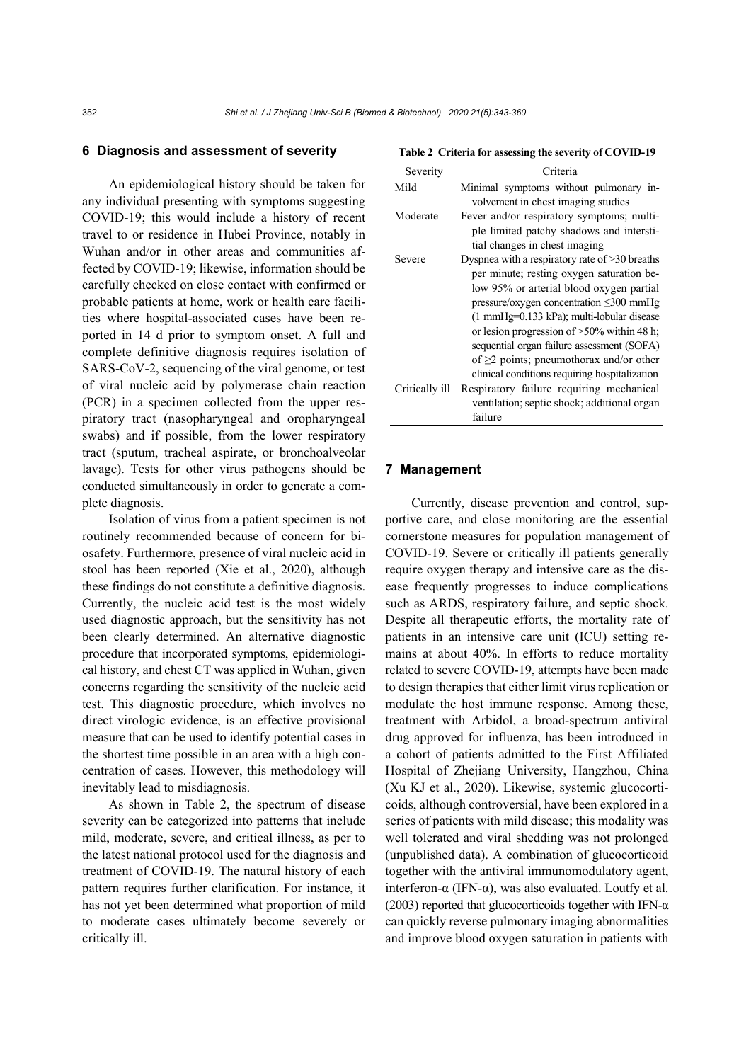# **6 Diagnosis and assessment of severity**

An epidemiological history should be taken for any individual presenting with symptoms suggesting COVID-19; this would include a history of recent travel to or residence in Hubei Province, notably in Wuhan and/or in other areas and communities affected by COVID-19; likewise, information should be carefully checked on close contact with confirmed or probable patients at home, work or health care facilities where hospital-associated cases have been reported in 14 d prior to symptom onset. A full and complete definitive diagnosis requires isolation of SARS-CoV-2, sequencing of the viral genome, or test of viral nucleic acid by polymerase chain reaction (PCR) in a specimen collected from the upper respiratory tract (nasopharyngeal and oropharyngeal swabs) and if possible, from the lower respiratory tract (sputum, tracheal aspirate, or bronchoalveolar lavage). Tests for other virus pathogens should be conducted simultaneously in order to generate a complete diagnosis.

Isolation of virus from a patient specimen is not routinely recommended because of concern for biosafety. Furthermore, presence of viral nucleic acid in stool has been reported (Xie et al., 2020), although these findings do not constitute a definitive diagnosis. Currently, the nucleic acid test is the most widely used diagnostic approach, but the sensitivity has not been clearly determined. An alternative diagnostic procedure that incorporated symptoms, epidemiological history, and chest CT was applied in Wuhan, given concerns regarding the sensitivity of the nucleic acid test. This diagnostic procedure, which involves no direct virologic evidence, is an effective provisional measure that can be used to identify potential cases in the shortest time possible in an area with a high concentration of cases. However, this methodology will inevitably lead to misdiagnosis.

As shown in Table 2, the spectrum of disease severity can be categorized into patterns that include mild, moderate, severe, and critical illness, as per to the latest national protocol used for the diagnosis and treatment of COVID-19. The natural history of each pattern requires further clarification. For instance, it has not yet been determined what proportion of mild to moderate cases ultimately become severely or critically ill.

|  | Table 2 Criteria for assessing the severity of COVID-19 |  |  |  |
|--|---------------------------------------------------------|--|--|--|
|  |                                                         |  |  |  |

| Severity       | Criteria                                             |
|----------------|------------------------------------------------------|
| Mild           | Minimal symptoms without pulmonary in-               |
|                | volvement in chest imaging studies                   |
| Moderate       | Fever and/or respiratory symptoms; multi-            |
|                | ple limited patchy shadows and intersti-             |
|                | tial changes in chest imaging                        |
| Severe         | Dyspnea with a respiratory rate of $>30$ breaths     |
|                | per minute; resting oxygen saturation be-            |
|                | low 95% or arterial blood oxygen partial             |
|                | pressure/oxygen concentration $\leq 300$ mmHg        |
|                | $(1 \text{ mmHg=0.133 kPa})$ ; multi-lobular disease |
|                | or lesion progression of $>50\%$ within 48 h;        |
|                | sequential organ failure assessment (SOFA)           |
|                | of $\geq$ 2 points; pneumothorax and/or other        |
|                | clinical conditions requiring hospitalization        |
| Critically ill | Respiratory failure requiring mechanical             |
|                | ventilation; septic shock; additional organ          |
|                | failure                                              |
|                |                                                      |

### **7 Management**

Currently, disease prevention and control, supportive care, and close monitoring are the essential cornerstone measures for population management of COVID-19. Severe or critically ill patients generally require oxygen therapy and intensive care as the disease frequently progresses to induce complications such as ARDS, respiratory failure, and septic shock. Despite all therapeutic efforts, the mortality rate of patients in an intensive care unit (ICU) setting remains at about 40%. In efforts to reduce mortality related to severe COVID-19, attempts have been made to design therapies that either limit virus replication or modulate the host immune response. Among these, treatment with Arbidol, a broad-spectrum antiviral drug approved for influenza, has been introduced in a cohort of patients admitted to the First Affiliated Hospital of Zhejiang University, Hangzhou, China (Xu KJ et al., 2020). Likewise, systemic glucocorticoids, although controversial, have been explored in a series of patients with mild disease; this modality was well tolerated and viral shedding was not prolonged (unpublished data). A combination of glucocorticoid together with the antiviral immunomodulatory agent, interferon-α (IFN-α), was also evaluated. Loutfy et al. (2003) reported that glucocorticoids together with IFN- $\alpha$ can quickly reverse pulmonary imaging abnormalities and improve blood oxygen saturation in patients with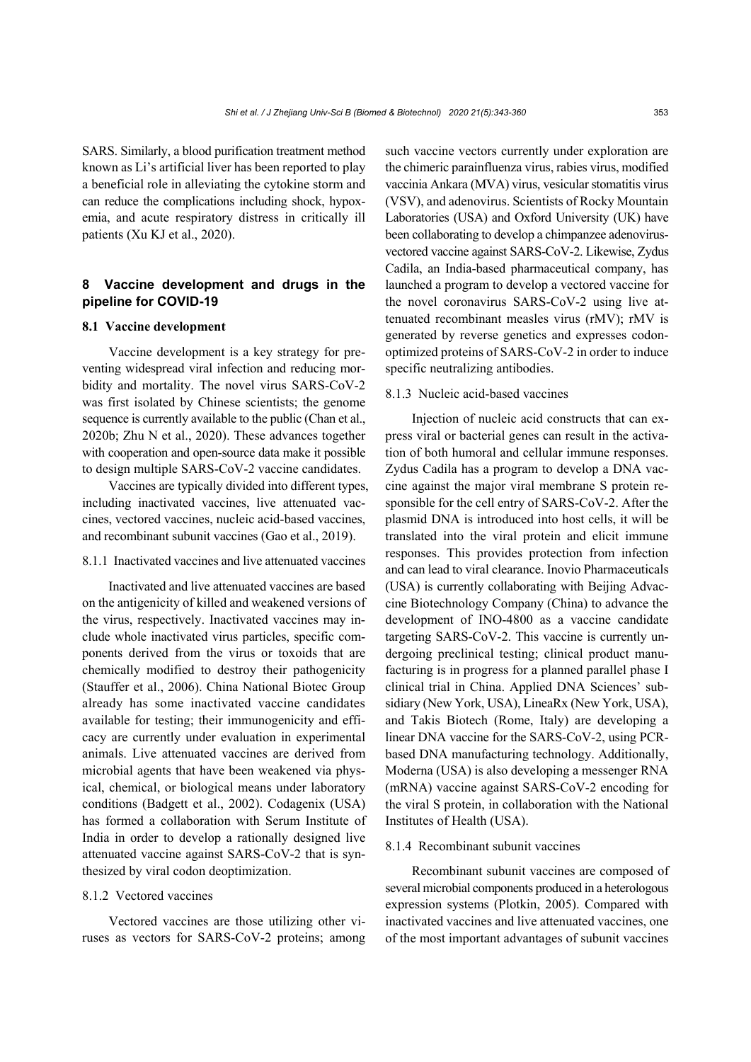SARS. Similarly, a blood purification treatment method known as Li's artificial liver has been reported to play a beneficial role in alleviating the cytokine storm and can reduce the complications including shock, hypoxemia, and acute respiratory distress in critically ill patients (Xu KJ et al., 2020).

# **8 Vaccine development and drugs in the pipeline for COVID-19**

## **8.1 Vaccine development**

Vaccine development is a key strategy for preventing widespread viral infection and reducing morbidity and mortality. The novel virus SARS-CoV-2 was first isolated by Chinese scientists; the genome sequence is currently available to the public (Chan et al., 2020b; Zhu N et al., 2020). These advances together with cooperation and open-source data make it possible to design multiple SARS-CoV-2 vaccine candidates.

Vaccines are typically divided into different types, including inactivated vaccines, live attenuated vaccines, vectored vaccines, nucleic acid-based vaccines, and recombinant subunit vaccines (Gao et al., 2019).

# 8.1.1 Inactivated vaccines and live attenuated vaccines

Inactivated and live attenuated vaccines are based on the antigenicity of killed and weakened versions of the virus, respectively. Inactivated vaccines may include whole inactivated virus particles, specific components derived from the virus or toxoids that are chemically modified to destroy their pathogenicity (Stauffer et al., 2006). China National Biotec Group already has some inactivated vaccine candidates available for testing; their immunogenicity and efficacy are currently under evaluation in experimental animals. Live attenuated vaccines are derived from microbial agents that have been weakened via physical, chemical, or biological means under laboratory conditions (Badgett et al., 2002). Codagenix (USA) has formed a collaboration with Serum Institute of India in order to develop a rationally designed live attenuated vaccine against SARS-CoV-2 that is synthesized by viral codon deoptimization.

## 8.1.2 Vectored vaccines

Vectored vaccines are those utilizing other viruses as vectors for SARS-CoV-2 proteins; among such vaccine vectors currently under exploration are the chimeric parainfluenza virus, rabies virus, modified vaccinia Ankara (MVA) virus, vesicular stomatitis virus (VSV), and adenovirus. Scientists of Rocky Mountain Laboratories (USA) and Oxford University (UK) have been collaborating to develop a chimpanzee adenovirusvectored vaccine against SARS-CoV-2. Likewise, Zydus Cadila, an India-based pharmaceutical company, has launched a program to develop a vectored vaccine for the novel coronavirus SARS-CoV-2 using live attenuated recombinant measles virus (rMV); rMV is generated by reverse genetics and expresses codonoptimized proteins of SARS-CoV-2 in order to induce specific neutralizing antibodies.

## 8.1.3 Nucleic acid-based vaccines

Injection of nucleic acid constructs that can express viral or bacterial genes can result in the activation of both humoral and cellular immune responses. Zydus Cadila has a program to develop a DNA vaccine against the major viral membrane S protein responsible for the cell entry of SARS-CoV-2. After the plasmid DNA is introduced into host cells, it will be translated into the viral protein and elicit immune responses. This provides protection from infection and can lead to viral clearance. Inovio Pharmaceuticals (USA) is currently collaborating with Beijing Advaccine Biotechnology Company (China) to advance the development of INO-4800 as a vaccine candidate targeting SARS-CoV-2. This vaccine is currently undergoing preclinical testing; clinical product manufacturing is in progress for a planned parallel phase I clinical trial in China. Applied DNA Sciences' subsidiary (New York, USA), LineaRx (New York, USA), and Takis Biotech (Rome, Italy) are developing a linear DNA vaccine for the SARS-CoV-2, using PCRbased DNA manufacturing technology. Additionally, Moderna (USA) is also developing a messenger RNA (mRNA) vaccine against SARS-CoV-2 encoding for the viral S protein, in collaboration with the National Institutes of Health (USA).

#### 8.1.4 Recombinant subunit vaccines

Recombinant subunit vaccines are composed of several microbial components produced in a heterologous expression systems (Plotkin, 2005). Compared with inactivated vaccines and live attenuated vaccines, one of the most important advantages of subunit vaccines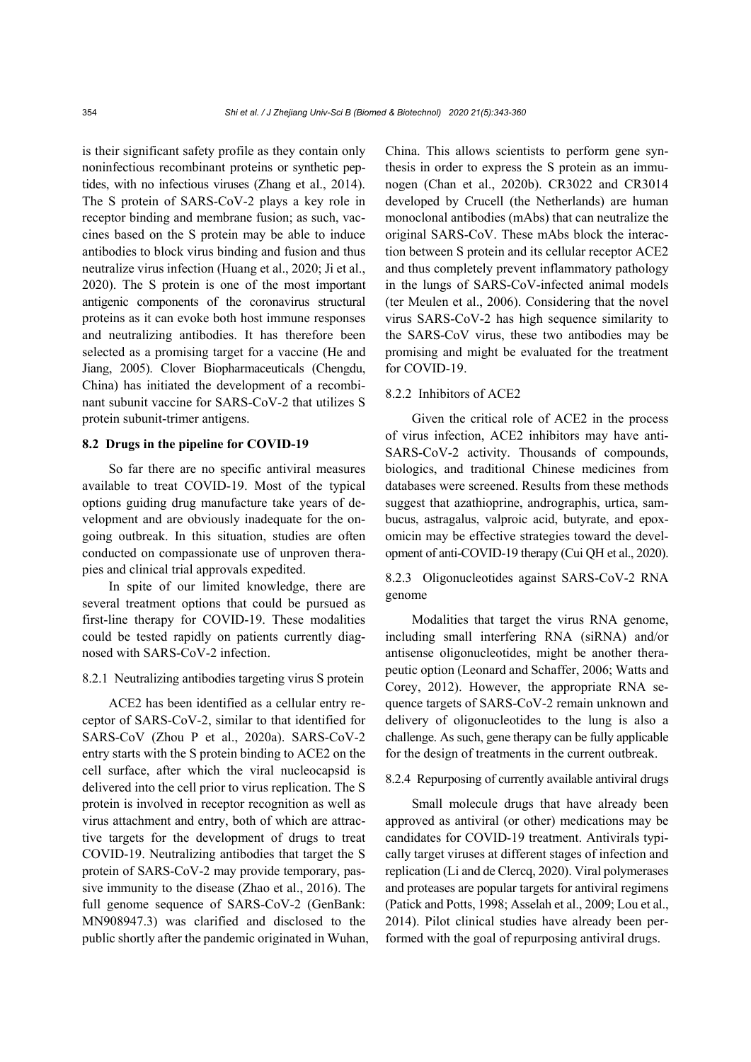is their significant safety profile as they contain only noninfectious recombinant proteins or synthetic peptides, with no infectious viruses (Zhang et al., 2014). The S protein of SARS-CoV-2 plays a key role in receptor binding and membrane fusion; as such, vaccines based on the S protein may be able to induce antibodies to block virus binding and fusion and thus neutralize virus infection (Huang et al., 2020; Ji et al., 2020). The S protein is one of the most important antigenic components of the coronavirus structural proteins as it can evoke both host immune responses and neutralizing antibodies. It has therefore been selected as a promising target for a vaccine (He and Jiang, 2005). Clover Biopharmaceuticals (Chengdu, China) has initiated the development of a recombinant subunit vaccine for SARS-CoV-2 that utilizes S protein subunit-trimer antigens.

# **8.2 Drugs in the pipeline for COVID-19**

So far there are no specific antiviral measures available to treat COVID-19. Most of the typical options guiding drug manufacture take years of development and are obviously inadequate for the ongoing outbreak. In this situation, studies are often conducted on compassionate use of unproven therapies and clinical trial approvals expedited.

In spite of our limited knowledge, there are several treatment options that could be pursued as first-line therapy for COVID-19. These modalities could be tested rapidly on patients currently diagnosed with SARS-CoV-2 infection.

### 8.2.1 Neutralizing antibodies targeting virus S protein

ACE2 has been identified as a cellular entry receptor of SARS-CoV-2, similar to that identified for SARS-CoV (Zhou P et al., 2020a). SARS-CoV-2 entry starts with the S protein binding to ACE2 on the cell surface, after which the viral nucleocapsid is delivered into the cell prior to virus replication. The S protein is involved in receptor recognition as well as virus attachment and entry, both of which are attractive targets for the development of drugs to treat COVID-19. Neutralizing antibodies that target the S protein of SARS-CoV-2 may provide temporary, passive immunity to the disease (Zhao et al., 2016). The full genome sequence of SARS-CoV-2 (GenBank: MN908947.3) was clarified and disclosed to the public shortly after the pandemic originated in Wuhan, China. This allows scientists to perform gene synthesis in order to express the S protein as an immunogen (Chan et al., 2020b). CR3022 and CR3014 developed by Crucell (the Netherlands) are human monoclonal antibodies (mAbs) that can neutralize the original SARS-CoV. These mAbs block the interaction between S protein and its cellular receptor ACE2 and thus completely prevent inflammatory pathology in the lungs of SARS-CoV-infected animal models (ter Meulen et al., 2006). Considering that the novel virus SARS-CoV-2 has high sequence similarity to the SARS-CoV virus, these two antibodies may be promising and might be evaluated for the treatment for COVID-19.

# 8.2.2 Inhibitors of ACE2

Given the critical role of ACE2 in the process of virus infection, ACE2 inhibitors may have anti-SARS-CoV-2 activity. Thousands of compounds, biologics, and traditional Chinese medicines from databases were screened. Results from these methods suggest that azathioprine, andrographis, urtica, sambucus, astragalus, valproic acid, butyrate, and epoxomicin may be effective strategies toward the development of anti-COVID-19 therapy (Cui QH et al., 2020).

8.2.3 Oligonucleotides against SARS-CoV-2 RNA genome

Modalities that target the virus RNA genome, including small interfering RNA (siRNA) and/or antisense oligonucleotides, might be another therapeutic option (Leonard and Schaffer, 2006; Watts and Corey, 2012). However, the appropriate RNA sequence targets of SARS-CoV-2 remain unknown and delivery of oligonucleotides to the lung is also a challenge. As such, gene therapy can be fully applicable for the design of treatments in the current outbreak.

# 8.2.4 Repurposing of currently available antiviral drugs

Small molecule drugs that have already been approved as antiviral (or other) medications may be candidates for COVID-19 treatment. Antivirals typically target viruses at different stages of infection and replication (Li and de Clercq, 2020). Viral polymerases and proteases are popular targets for antiviral regimens (Patick and Potts, 1998; Asselah et al., 2009; Lou et al., 2014). Pilot clinical studies have already been performed with the goal of repurposing antiviral drugs.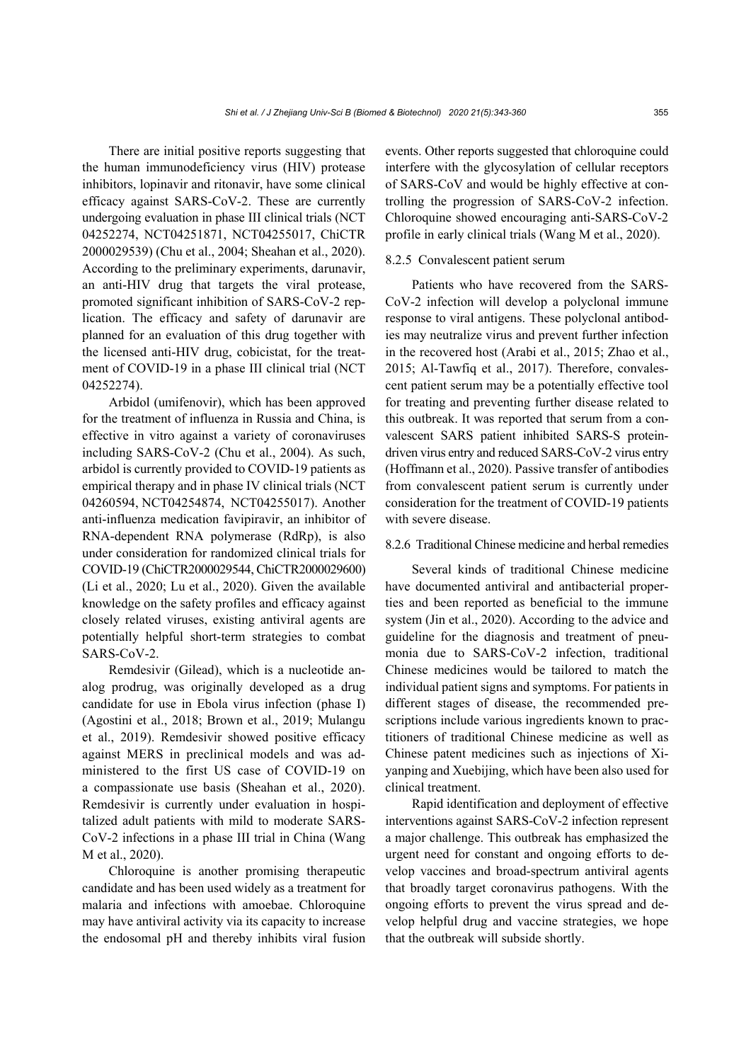There are initial positive reports suggesting that the human immunodeficiency virus (HIV) protease inhibitors, lopinavir and ritonavir, have some clinical efficacy against SARS-CoV-2. These are currently undergoing evaluation in phase III clinical trials (NCT 04252274, NCT04251871, NCT04255017, ChiCTR 2000029539) (Chu et al., 2004; Sheahan et al., 2020). According to the preliminary experiments, darunavir, an anti-HIV drug that targets the viral protease, promoted significant inhibition of SARS-CoV-2 replication. The efficacy and safety of darunavir are planned for an evaluation of this drug together with the licensed anti-HIV drug, cobicistat, for the treatment of COVID-19 in a phase III clinical trial (NCT 04252274).

Arbidol (umifenovir), which has been approved for the treatment of influenza in Russia and China, is effective in vitro against a variety of coronaviruses including SARS-CoV-2 (Chu et al., 2004). As such, arbidol is currently provided to COVID-19 patients as empirical therapy and in phase IV clinical trials (NCT 04260594, NCT04254874, NCT04255017). Another anti-influenza medication favipiravir, an inhibitor of RNA-dependent RNA polymerase (RdRp), is also under consideration for randomized clinical trials for COVID-19 (ChiCTR2000029544, ChiCTR2000029600) (Li et al., 2020; Lu et al., 2020). Given the available knowledge on the safety profiles and efficacy against closely related viruses, existing antiviral agents are potentially helpful short-term strategies to combat SARS-CoV-2.

Remdesivir (Gilead), which is a nucleotide analog prodrug, was originally developed as a drug candidate for use in Ebola virus infection (phase I) (Agostini et al., 2018; Brown et al., 2019; Mulangu et al., 2019). Remdesivir showed positive efficacy against MERS in preclinical models and was administered to the first US case of COVID-19 on a compassionate use basis (Sheahan et al., 2020). Remdesivir is currently under evaluation in hospitalized adult patients with mild to moderate SARS-CoV-2 infections in a phase III trial in China (Wang M et al., 2020).

Chloroquine is another promising therapeutic candidate and has been used widely as a treatment for malaria and infections with amoebae. Chloroquine may have antiviral activity via its capacity to increase the endosomal pH and thereby inhibits viral fusion events. Other reports suggested that chloroquine could interfere with the glycosylation of cellular receptors of SARS-CoV and would be highly effective at controlling the progression of SARS-CoV-2 infection. Chloroquine showed encouraging anti-SARS-CoV-2 profile in early clinical trials (Wang M et al., 2020).

# 8.2.5 Convalescent patient serum

Patients who have recovered from the SARS-CoV-2 infection will develop a polyclonal immune response to viral antigens. These polyclonal antibodies may neutralize virus and prevent further infection in the recovered host (Arabi et al., 2015; Zhao et al., 2015; Al-Tawfiq et al., 2017). Therefore, convalescent patient serum may be a potentially effective tool for treating and preventing further disease related to this outbreak. It was reported that serum from a convalescent SARS patient inhibited SARS-S proteindriven virus entry and reduced SARS-CoV-2 virus entry (Hoffmann et al., 2020). Passive transfer of antibodies from convalescent patient serum is currently under consideration for the treatment of COVID-19 patients with severe disease.

# 8.2.6 Traditional Chinese medicine and herbal remedies

Several kinds of traditional Chinese medicine have documented antiviral and antibacterial properties and been reported as beneficial to the immune system (Jin et al., 2020). According to the advice and guideline for the diagnosis and treatment of pneumonia due to SARS-CoV-2 infection, traditional Chinese medicines would be tailored to match the individual patient signs and symptoms. For patients in different stages of disease, the recommended prescriptions include various ingredients known to practitioners of traditional Chinese medicine as well as Chinese patent medicines such as injections of Xiyanping and Xuebijing, which have been also used for clinical treatment.

Rapid identification and deployment of effective interventions against SARS-CoV-2 infection represent a major challenge. This outbreak has emphasized the urgent need for constant and ongoing efforts to develop vaccines and broad-spectrum antiviral agents that broadly target coronavirus pathogens. With the ongoing efforts to prevent the virus spread and develop helpful drug and vaccine strategies, we hope that the outbreak will subside shortly.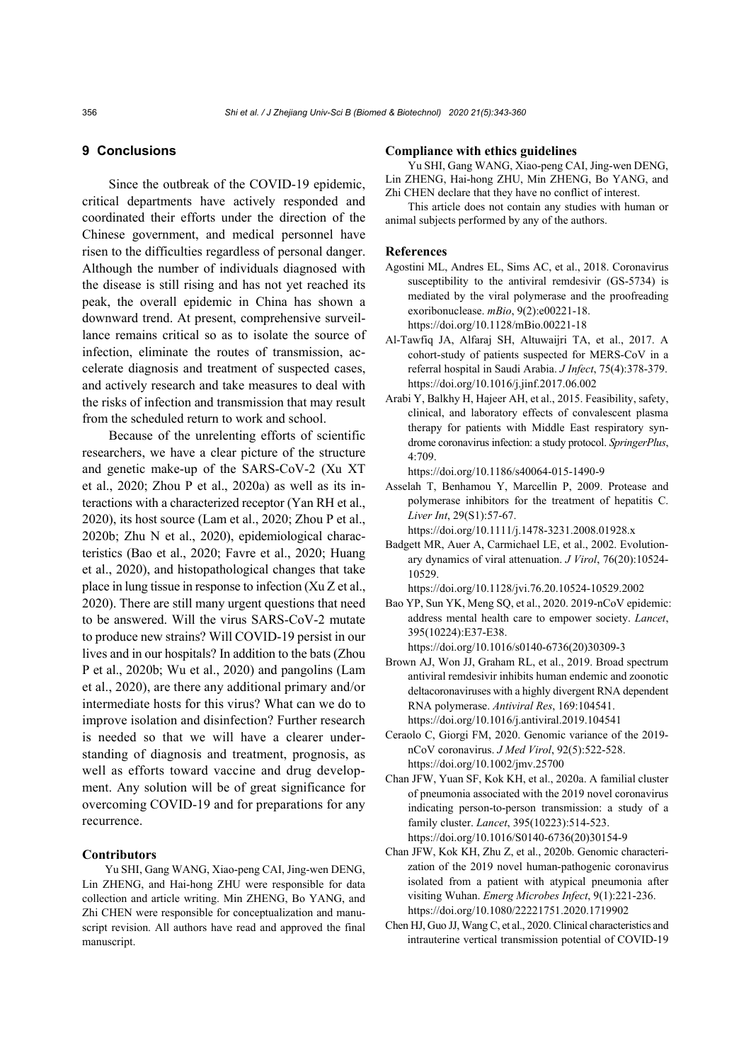## **9 Conclusions**

Since the outbreak of the COVID-19 epidemic, critical departments have actively responded and coordinated their efforts under the direction of the Chinese government, and medical personnel have risen to the difficulties regardless of personal danger. Although the number of individuals diagnosed with the disease is still rising and has not yet reached its peak, the overall epidemic in China has shown a downward trend. At present, comprehensive surveillance remains critical so as to isolate the source of infection, eliminate the routes of transmission, accelerate diagnosis and treatment of suspected cases, and actively research and take measures to deal with the risks of infection and transmission that may result from the scheduled return to work and school.

Because of the unrelenting efforts of scientific researchers, we have a clear picture of the structure and genetic make-up of the SARS-CoV-2 (Xu XT et al., 2020; Zhou P et al., 2020a) as well as its interactions with a characterized receptor (Yan RH et al., 2020), its host source (Lam et al., 2020; Zhou P et al., 2020b; Zhu N et al., 2020), epidemiological characteristics (Bao et al., 2020; Favre et al., 2020; Huang et al., 2020), and histopathological changes that take place in lung tissue in response to infection (Xu Z et al., 2020). There are still many urgent questions that need to be answered. Will the virus SARS-CoV-2 mutate to produce new strains? Will COVID-19 persist in our lives and in our hospitals? In addition to the bats (Zhou P et al., 2020b; Wu et al., 2020) and pangolins (Lam et al., 2020), are there any additional primary and/or intermediate hosts for this virus? What can we do to improve isolation and disinfection? Further research is needed so that we will have a clearer understanding of diagnosis and treatment, prognosis, as well as efforts toward vaccine and drug development. Any solution will be of great significance for overcoming COVID-19 and for preparations for any recurrence.

# **Contributors**

Yu SHI, Gang WANG, Xiao-peng CAI, Jing-wen DENG, Lin ZHENG, and Hai-hong ZHU were responsible for data collection and article writing. Min ZHENG, Bo YANG, and Zhi CHEN were responsible for conceptualization and manuscript revision. All authors have read and approved the final manuscript.

#### **Compliance with ethics guidelines**

Yu SHI, Gang WANG, Xiao-peng CAI, Jing-wen DENG, Lin ZHENG, Hai-hong ZHU, Min ZHENG, Bo YANG, and Zhi CHEN declare that they have no conflict of interest.

This article does not contain any studies with human or animal subjects performed by any of the authors.

#### **References**

- Agostini ML, Andres EL, Sims AC, et al., 2018. Coronavirus susceptibility to the antiviral remdesivir (GS-5734) is mediated by the viral polymerase and the proofreading exoribonuclease. *mBio*, 9(2):e00221-18. https://doi.org/10.1128/mBio.00221-18
- Al-Tawfiq JA, Alfaraj SH, Altuwaijri TA, et al., 2017. A cohort-study of patients suspected for MERS-CoV in a referral hospital in Saudi Arabia. *J Infect*, 75(4):378-379. https://doi.org/10.1016/j.jinf.2017.06.002
- Arabi Y, Balkhy H, Hajeer AH, et al., 2015. Feasibility, safety, clinical, and laboratory effects of convalescent plasma therapy for patients with Middle East respiratory syndrome coronavirus infection: a study protocol. *SpringerPlus*, 4:709.

https://doi.org/10.1186/s40064-015-1490-9

Asselah T, Benhamou Y, Marcellin P, 2009. Protease and polymerase inhibitors for the treatment of hepatitis C. *Liver Int*, 29(S1):57-67.

https://doi.org/10.1111/j.1478-3231.2008.01928.x

Badgett MR, Auer A, Carmichael LE, et al., 2002. Evolutionary dynamics of viral attenuation. *J Virol*, 76(20):10524- 10529.

https://doi.org/10.1128/jvi.76.20.10524-10529.2002

- Bao YP, Sun YK, Meng SQ, et al., 2020. 2019-nCoV epidemic: address mental health care to empower society. *Lancet*, 395(10224):E37-E38. https://doi.org/10.1016/s0140-6736(20)30309-3
- Brown AJ, Won JJ, Graham RL, et al., 2019. Broad spectrum antiviral remdesivir inhibits human endemic and zoonotic deltacoronaviruses with a highly divergent RNA dependent RNA polymerase. *Antiviral Res*, 169:104541. https://doi.org/10.1016/j.antiviral.2019.104541
- Ceraolo C, Giorgi FM, 2020. Genomic variance of the 2019 nCoV coronavirus. *J Med Virol*, 92(5):522-528. https://doi.org/10.1002/jmv.25700
- Chan JFW, Yuan SF, Kok KH, et al., 2020a. A familial cluster of pneumonia associated with the 2019 novel coronavirus indicating person-to-person transmission: a study of a family cluster. *Lancet*, 395(10223):514-523. https://doi.org/10.1016/S0140-6736(20)30154-9
- Chan JFW, Kok KH, Zhu Z, et al., 2020b. Genomic characterization of the 2019 novel human-pathogenic coronavirus isolated from a patient with atypical pneumonia after visiting Wuhan. *Emerg Microbes Infect*, 9(1):221-236. https://doi.org/10.1080/22221751.2020.1719902
- Chen HJ, Guo JJ, Wang C, et al., 2020. Clinical characteristics and intrauterine vertical transmission potential of COVID-19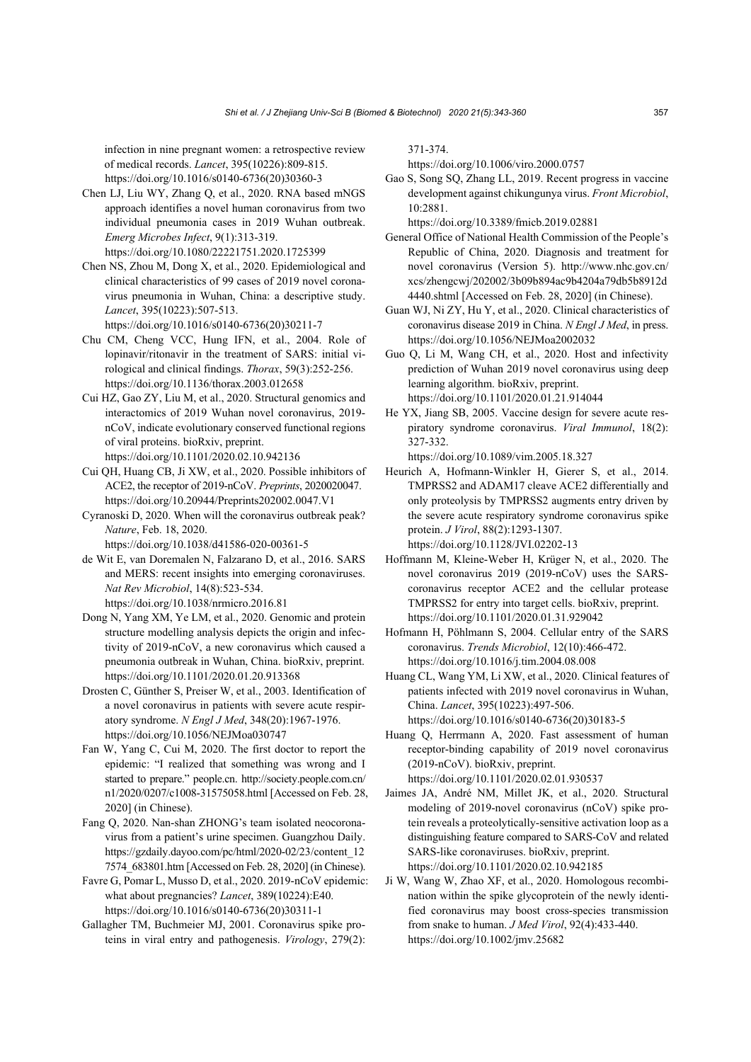infection in nine pregnant women: a retrospective review of medical records. *Lancet*, 395(10226):809-815. https://doi.org/10.1016/s0140-6736(20)30360-3

- Chen LJ, Liu WY, Zhang Q, et al., 2020. RNA based mNGS approach identifies a novel human coronavirus from two individual pneumonia cases in 2019 Wuhan outbreak. *Emerg Microbes Infect*, 9(1):313-319. https://doi.org/10.1080/22221751.2020.1725399
- Chen NS, Zhou M, Dong X, et al., 2020. Epidemiological and clinical characteristics of 99 cases of 2019 novel coronavirus pneumonia in Wuhan, China: a descriptive study. *Lancet*, 395(10223):507-513.

https://doi.org/10.1016/s0140-6736(20)30211-7

- Chu CM, Cheng VCC, Hung IFN, et al., 2004. Role of lopinavir/ritonavir in the treatment of SARS: initial virological and clinical findings. *Thorax*, 59(3):252-256. https://doi.org/10.1136/thorax.2003.012658
- Cui HZ, Gao ZY, Liu M, et al., 2020. Structural genomics and interactomics of 2019 Wuhan novel coronavirus, 2019 nCoV, indicate evolutionary conserved functional regions of viral proteins. bioRxiv, preprint. https://doi.org/10.1101/2020.02.10.942136
- Cui QH, Huang CB, Ji XW, et al., 2020. Possible inhibitors of ACE2, the receptor of 2019-nCoV. *Preprints*, 2020020047. https://doi.org/10.20944/Preprints202002.0047.V1
- Cyranoski D, 2020. When will the coronavirus outbreak peak? *Nature*, Feb. 18, 2020.

https://doi.org/10.1038/d41586-020-00361-5

de Wit E, van Doremalen N, Falzarano D, et al., 2016. SARS and MERS: recent insights into emerging coronaviruses. *Nat Rev Microbiol*, 14(8):523-534. https://doi.org/10.1038/nrmicro.2016.81

- Dong N, Yang XM, Ye LM, et al., 2020. Genomic and protein structure modelling analysis depicts the origin and infectivity of 2019-nCoV, a new coronavirus which caused a pneumonia outbreak in Wuhan, China. bioRxiv, preprint. https://doi.org/10.1101/2020.01.20.913368
- Drosten C, Günther S, Preiser W, et al., 2003. Identification of a novel coronavirus in patients with severe acute respiratory syndrome. *N Engl J Med*, 348(20):1967-1976. https://doi.org/10.1056/NEJMoa030747
- Fan W, Yang C, Cui M, 2020. The first doctor to report the epidemic: "I realized that something was wrong and I started to prepare." people.cn. http://society.people.com.cn/ n1/2020/0207/c1008-31575058.html [Accessed on Feb. 28, 2020] (in Chinese).
- Fang Q, 2020. Nan-shan ZHONG's team isolated neocoronavirus from a patient's urine specimen. Guangzhou Daily. https://gzdaily.dayoo.com/pc/html/2020-02/23/content\_12 7574\_683801.htm [Accessed on Feb. 28, 2020] (in Chinese).
- Favre G, Pomar L, Musso D, et al., 2020. 2019-nCoV epidemic: what about pregnancies? *Lancet*, 389(10224):E40. https://doi.org/10.1016/s0140-6736(20)30311-1
- Gallagher TM, Buchmeier MJ, 2001. Coronavirus spike proteins in viral entry and pathogenesis. *Virology*, 279(2):

371-374.

https://doi.org/10.1006/viro.2000.0757

Gao S, Song SQ, Zhang LL, 2019. Recent progress in vaccine development against chikungunya virus. *Front Microbiol*, 10:2881.

https://doi.org/10.3389/fmicb.2019.02881

- General Office of National Health Commission of the People's Republic of China, 2020. Diagnosis and treatment for novel coronavirus (Version 5). http://www.nhc.gov.cn/ xcs/zhengcwj/202002/3b09b894ac9b4204a79db5b8912d 4440.shtml [Accessed on Feb. 28, 2020] (in Chinese).
- Guan WJ, Ni ZY, Hu Y, et al., 2020. Clinical characteristics of coronavirus disease 2019 in China. *N Engl J Med*, in press. https://doi.org/10.1056/NEJMoa2002032
- Guo Q, Li M, Wang CH, et al., 2020. Host and infectivity prediction of Wuhan 2019 novel coronavirus using deep learning algorithm. bioRxiv, preprint. https://doi.org/10.1101/2020.01.21.914044
- He YX, Jiang SB, 2005. Vaccine design for severe acute respiratory syndrome coronavirus. *Viral Immunol*, 18(2): 327-332.

https://doi.org/10.1089/vim.2005.18.327

- Heurich A, Hofmann-Winkler H, Gierer S, et al., 2014. TMPRSS2 and ADAM17 cleave ACE2 differentially and only proteolysis by TMPRSS2 augments entry driven by the severe acute respiratory syndrome coronavirus spike protein. *J Virol*, 88(2):1293-1307. https://doi.org/10.1128/JVI.02202-13
- Hoffmann M, Kleine-Weber H, Krüger N, et al., 2020. The novel coronavirus 2019 (2019-nCoV) uses the SARScoronavirus receptor ACE2 and the cellular protease TMPRSS2 for entry into target cells. bioRxiv, preprint. https://doi.org/10.1101/2020.01.31.929042
- Hofmann H, Pöhlmann S, 2004. Cellular entry of the SARS coronavirus. *Trends Microbiol*, 12(10):466-472. https://doi.org/10.1016/j.tim.2004.08.008
- Huang CL, Wang YM, Li XW, et al., 2020. Clinical features of patients infected with 2019 novel coronavirus in Wuhan, China. *Lancet*, 395(10223):497-506. https://doi.org/10.1016/s0140-6736(20)30183-5
- Huang Q, Herrmann A, 2020. Fast assessment of human receptor-binding capability of 2019 novel coronavirus (2019-nCoV). bioRxiv, preprint. https://doi.org/10.1101/2020.02.01.930537
- Jaimes JA, André NM, Millet JK, et al., 2020. Structural modeling of 2019-novel coronavirus (nCoV) spike protein reveals a proteolytically-sensitive activation loop as a distinguishing feature compared to SARS-CoV and related SARS-like coronaviruses. bioRxiv, preprint. https://doi.org/10.1101/2020.02.10.942185
- Ji W, Wang W, Zhao XF, et al., 2020. Homologous recombination within the spike glycoprotein of the newly identified coronavirus may boost cross-species transmission from snake to human. *J Med Virol*, 92(4):433-440. https://doi.org/10.1002/jmv.25682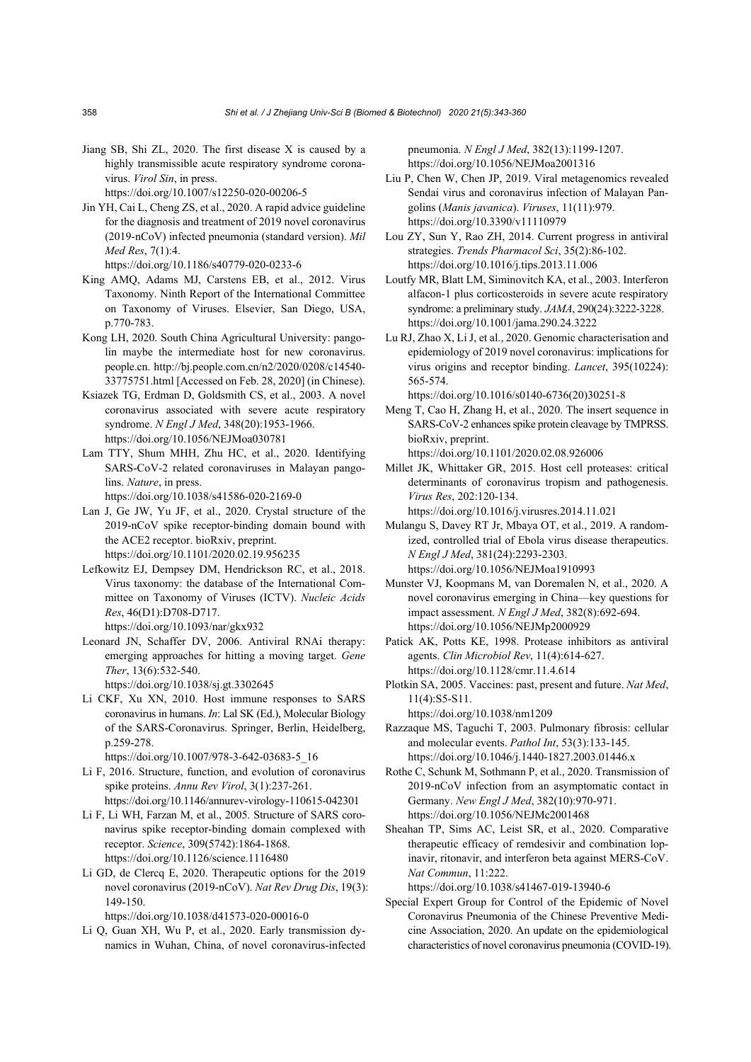Jiang SB, Shi ZL, 2020. The first disease X is caused by a highly transmissible acute respiratory syndrome coronavirus. *Virol Sin*, in press. https://doi.org/10.1007/s12250-020-00206-5

Jin YH, Cai L, Cheng ZS, et al., 2020. A rapid advice guideline

for the diagnosis and treatment of 2019 novel coronavirus (2019-nCoV) infected pneumonia (standard version). *Mil Med Res*, 7(1):4.

https://doi.org/10.1186/s40779-020-0233-6

- King AMQ, Adams MJ, Carstens EB, et al., 2012. Virus Taxonomy. Ninth Report of the International Committee on Taxonomy of Viruses. Elsevier, San Diego, USA, p.770-783.
- Kong LH, 2020. South China Agricultural University: pangolin maybe the intermediate host for new coronavirus. people.cn. http://bj.people.com.cn/n2/2020/0208/c14540- 33775751.html [Accessed on Feb. 28, 2020] (in Chinese).
- Ksiazek TG, Erdman D, Goldsmith CS, et al., 2003. A novel coronavirus associated with severe acute respiratory syndrome. *N Engl J Med*, 348(20):1953-1966. https://doi.org/10.1056/NEJMoa030781
- Lam TTY, Shum MHH, Zhu HC, et al., 2020. Identifying SARS-CoV-2 related coronaviruses in Malayan pangolins. *Nature*, in press.

https://doi.org/10.1038/s41586-020-2169-0

- Lan J, Ge JW, Yu JF, et al., 2020. Crystal structure of the 2019-nCoV spike receptor-binding domain bound with the ACE2 receptor. bioRxiv, preprint. https://doi.org/10.1101/2020.02.19.956235
- Lefkowitz EJ, Dempsey DM, Hendrickson RC, et al., 2018. Virus taxonomy: the database of the International Committee on Taxonomy of Viruses (ICTV). *Nucleic Acids Res*, 46(D1):D708-D717.
	- https://doi.org/10.1093/nar/gkx932
- Leonard JN, Schaffer DV, 2006. Antiviral RNAi therapy: emerging approaches for hitting a moving target. *Gene Ther*, 13(6):532-540.

https://doi.org/10.1038/sj.gt.3302645

Li CKF, Xu XN, 2010. Host immune responses to SARS coronavirus in humans. *In*: Lal SK (Ed.), Molecular Biology of the SARS-Coronavirus. Springer, Berlin, Heidelberg, p.259-278.

https://doi.org/10.1007/978-3-642-03683-5\_16

- Li F, 2016. Structure, function, and evolution of coronavirus spike proteins. *Annu Rev Virol*, 3(1):237-261. https://doi.org/10.1146/annurev-virology-110615-042301
- Li F, Li WH, Farzan M, et al., 2005. Structure of SARS coronavirus spike receptor-binding domain complexed with receptor. *Science*, 309(5742):1864-1868. https://doi.org/10.1126/science.1116480
- Li GD, de Clercq E, 2020. Therapeutic options for the 2019 novel coronavirus (2019-nCoV). *Nat Rev Drug Dis*, 19(3): 149-150.

https://doi.org/10.1038/d41573-020-00016-0

Li Q, Guan XH, Wu P, et al., 2020. Early transmission dynamics in Wuhan, China, of novel coronavirus-infected pneumonia. *N Engl J Med*, 382(13):1199-1207. https://doi.org/10.1056/NEJMoa2001316

- Liu P, Chen W, Chen JP, 2019. Viral metagenomics revealed Sendai virus and coronavirus infection of Malayan Pangolins (*Manis javanica*). *Viruses*, 11(11):979. https://doi.org/10.3390/v11110979
- Lou ZY, Sun Y, Rao ZH, 2014. Current progress in antiviral strategies. *Trends Pharmacol Sci*, 35(2):86-102. https://doi.org/10.1016/j.tips.2013.11.006
- Loutfy MR, Blatt LM, Siminovitch KA, et al., 2003. Interferon alfacon-1 plus corticosteroids in severe acute respiratory syndrome: a preliminary study. *JAMA*, 290(24):3222-3228. https://doi.org/10.1001/jama.290.24.3222
- Lu RJ, Zhao X, Li J, et al., 2020. Genomic characterisation and epidemiology of 2019 novel coronavirus: implications for virus origins and receptor binding. *Lancet*, 395(10224): 565-574.

https://doi.org/10.1016/s0140-6736(20)30251-8

- Meng T, Cao H, Zhang H, et al., 2020. The insert sequence in SARS-CoV-2 enhances spike protein cleavage by TMPRSS. bioRxiv, preprint. https://doi.org/10.1101/2020.02.08.926006
- Millet JK, Whittaker GR, 2015. Host cell proteases: critical determinants of coronavirus tropism and pathogenesis. *Virus Res*, 202:120-134.

https://doi.org/10.1016/j.virusres.2014.11.021

- Mulangu S, Davey RT Jr, Mbaya OT, et al., 2019. A randomized, controlled trial of Ebola virus disease therapeutics. *N Engl J Med*, 381(24):2293-2303. https://doi.org/10.1056/NEJMoa1910993
- Munster VJ, Koopmans M, van Doremalen N, et al., 2020. A novel coronavirus emerging in China—key questions for impact assessment. *N Engl J Med*, 382(8):692-694. https://doi.org/10.1056/NEJMp2000929
- Patick AK, Potts KE, 1998. Protease inhibitors as antiviral agents. *Clin Microbiol Rev*, 11(4):614-627. https://doi.org/10.1128/cmr.11.4.614
- Plotkin SA, 2005. Vaccines: past, present and future. *Nat Med*, 11(4):S5-S11.

https://doi.org/10.1038/nm1209

- Razzaque MS, Taguchi T, 2003. Pulmonary fibrosis: cellular and molecular events. *Pathol Int*, 53(3):133-145. https://doi.org/10.1046/j.1440-1827.2003.01446.x
- Rothe C, Schunk M, Sothmann P, et al., 2020. Transmission of 2019-nCoV infection from an asymptomatic contact in Germany. *New Engl J Med*, 382(10):970-971. https://doi.org/10.1056/NEJMc2001468
- Sheahan TP, Sims AC, Leist SR, et al., 2020. Comparative therapeutic efficacy of remdesivir and combination lopinavir, ritonavir, and interferon beta against MERS-CoV. *Nat Commun*, 11:222.

https://doi.org/10.1038/s41467-019-13940-6

Special Expert Group for Control of the Epidemic of Novel Coronavirus Pneumonia of the Chinese Preventive Medicine Association, 2020. An update on the epidemiological characteristics of novel coronavirus pneumonia (COVID-19).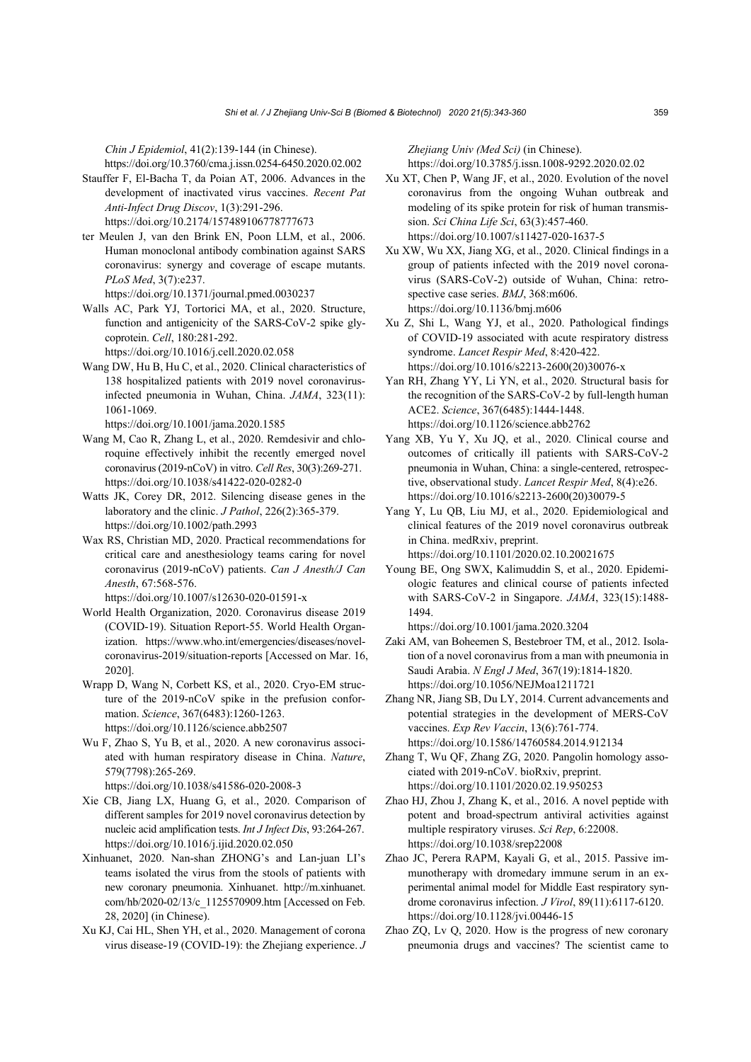*Chin J Epidemiol*, 41(2):139-144 (in Chinese). https://doi.org/10.3760/cma.j.issn.0254-6450.2020.02.002

Stauffer F, El-Bacha T, da Poian AT, 2006. Advances in the development of inactivated virus vaccines. *Recent Pat Anti-Infect Drug Discov*, 1(3):291-296. https://doi.org/10.2174/157489106778777673

ter Meulen J, van den Brink EN, Poon LLM, et al., 2006. Human monoclonal antibody combination against SARS coronavirus: synergy and coverage of escape mutants. *PLoS Med*, 3(7):e237. https://doi.org/10.1371/journal.pmed.0030237

Walls AC, Park YJ, Tortorici MA, et al., 2020. Structure, function and antigenicity of the SARS-CoV-2 spike glycoprotein. *Cell*, 180:281-292.

https://doi.org/10.1016/j.cell.2020.02.058

Wang DW, Hu B, Hu C, et al., 2020. Clinical characteristics of 138 hospitalized patients with 2019 novel coronavirusinfected pneumonia in Wuhan, China. *JAMA*, 323(11): 1061-1069.

https://doi.org/10.1001/jama.2020.1585

- Wang M, Cao R, Zhang L, et al., 2020. Remdesivir and chloroquine effectively inhibit the recently emerged novel coronavirus (2019-nCoV) in vitro. *Cell Res*, 30(3):269-271. https://doi.org/10.1038/s41422-020-0282-0
- Watts JK, Corey DR, 2012. Silencing disease genes in the laboratory and the clinic. *J Pathol*, 226(2):365-379. https://doi.org/10.1002/path.2993
- Wax RS, Christian MD, 2020. Practical recommendations for critical care and anesthesiology teams caring for novel coronavirus (2019-nCoV) patients. *Can J Anesth/J Can Anesth*, 67:568-576.

https://doi.org/10.1007/s12630-020-01591-x

- World Health Organization, 2020. Coronavirus disease 2019 (COVID-19). Situation Report-55. World Health Organization. https://www.who.int/emergencies/diseases/novelcoronavirus-2019/situation-reports [Accessed on Mar. 16, 2020].
- Wrapp D, Wang N, Corbett KS, et al., 2020. Cryo-EM structure of the 2019-nCoV spike in the prefusion conformation. *Science*, 367(6483):1260-1263. https://doi.org/10.1126/science.abb2507
- Wu F, Zhao S, Yu B, et al., 2020. A new coronavirus associated with human respiratory disease in China. *Nature*, 579(7798):265-269.

https://doi.org/10.1038/s41586-020-2008-3

- Xie CB, Jiang LX, Huang G, et al., 2020. Comparison of different samples for 2019 novel coronavirus detection by nucleic acid amplification tests. *Int J Infect Dis*, 93:264-267. https://doi.org/10.1016/j.ijid.2020.02.050
- Xinhuanet, 2020. Nan-shan ZHONG's and Lan-juan LI's teams isolated the virus from the stools of patients with new coronary pneumonia. Xinhuanet. http://m.xinhuanet. com/hb/2020-02/13/c\_1125570909.htm [Accessed on Feb. 28, 2020] (in Chinese).
- Xu KJ, Cai HL, Shen YH, et al., 2020. Management of corona virus disease-19 (COVID-19): the Zhejiang experience. *J*

*Zhejiang Univ (Med Sci)* (in Chinese). https://doi.org/10.3785/j.issn.1008-9292.2020.02.02

- Xu XT, Chen P, Wang JF, et al., 2020. Evolution of the novel coronavirus from the ongoing Wuhan outbreak and modeling of its spike protein for risk of human transmission. *Sci China Life Sci*, 63(3):457-460. https://doi.org/10.1007/s11427-020-1637-5
- Xu XW, Wu XX, Jiang XG, et al., 2020. Clinical findings in a group of patients infected with the 2019 novel coronavirus (SARS-CoV-2) outside of Wuhan, China: retrospective case series. *BMJ*, 368:m606. https://doi.org/10.1136/bmj.m606
- Xu Z, Shi L, Wang YJ, et al., 2020. Pathological findings of COVID-19 associated with acute respiratory distress syndrome. *Lancet Respir Med*, 8:420-422. https://doi.org/10.1016/s2213-2600(20)30076-x
- Yan RH, Zhang YY, Li YN, et al., 2020. Structural basis for the recognition of the SARS-CoV-2 by full-length human ACE2. *Science*, 367(6485):1444-1448. https://doi.org/10.1126/science.abb2762
- Yang XB, Yu Y, Xu JQ, et al., 2020. Clinical course and outcomes of critically ill patients with SARS-CoV-2 pneumonia in Wuhan, China: a single-centered, retrospective, observational study. *Lancet Respir Med*, 8(4):e26. https://doi.org/10.1016/s2213-2600(20)30079-5
- Yang Y, Lu QB, Liu MJ, et al., 2020. Epidemiological and clinical features of the 2019 novel coronavirus outbreak in China. medRxiv, preprint. https://doi.org/10.1101/2020.02.10.20021675
- Young BE, Ong SWX, Kalimuddin S, et al., 2020. Epidemiologic features and clinical course of patients infected with SARS-CoV-2 in Singapore. *JAMA*, 323(15):1488- 1494.

https://doi.org/10.1001/jama.2020.3204

- Zaki AM, van Boheemen S, Bestebroer TM, et al., 2012. Isolation of a novel coronavirus from a man with pneumonia in Saudi Arabia. *N Engl J Med*, 367(19):1814-1820. https://doi.org/10.1056/NEJMoa1211721
- Zhang NR, Jiang SB, Du LY, 2014. Current advancements and potential strategies in the development of MERS-CoV vaccines. *Exp Rev Vaccin*, 13(6):761-774. https://doi.org/10.1586/14760584.2014.912134
- Zhang T, Wu QF, Zhang ZG, 2020. Pangolin homology associated with 2019-nCoV. bioRxiv, preprint. https://doi.org/10.1101/2020.02.19.950253
- Zhao HJ, Zhou J, Zhang K, et al., 2016. A novel peptide with potent and broad-spectrum antiviral activities against multiple respiratory viruses. *Sci Rep*, 6:22008. https://doi.org/10.1038/srep22008
- Zhao JC, Perera RAPM, Kayali G, et al., 2015. Passive immunotherapy with dromedary immune serum in an experimental animal model for Middle East respiratory syndrome coronavirus infection. *J Virol*, 89(11):6117-6120. https://doi.org/10.1128/jvi.00446-15
- Zhao ZQ, Lv Q, 2020. How is the progress of new coronary pneumonia drugs and vaccines? The scientist came to